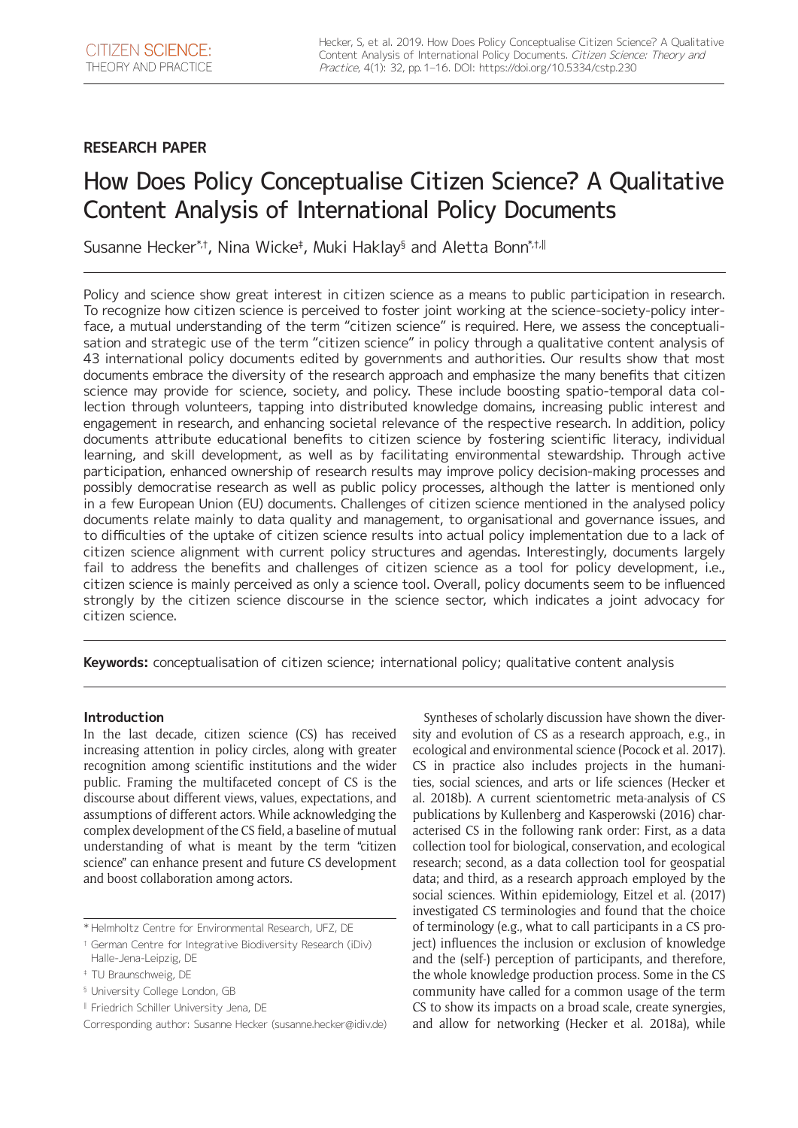## **RESEARCH PAPER**

# How Does Policy Conceptualise Citizen Science? A Qualitative Content Analysis of International Policy Documents

Susanne Hecker\*†, Nina Wicke‡, Muki Haklay§ and Aletta Bonn\* $^{\text{\tiny{*}}\text{\tiny{}}\text{\tiny{}}\text{\tiny{}}\text{\tiny{}}$ l

Policy and science show great interest in citizen science as a means to public participation in research. To recognize how citizen science is perceived to foster joint working at the science-society-policy interface, a mutual understanding of the term "citizen science" is required. Here, we assess the conceptualisation and strategic use of the term "citizen science" in policy through a qualitative content analysis of 43 international policy documents edited by governments and authorities. Our results show that most documents embrace the diversity of the research approach and emphasize the many benefits that citizen science may provide for science, society, and policy. These include boosting spatio-temporal data collection through volunteers, tapping into distributed knowledge domains, increasing public interest and engagement in research, and enhancing societal relevance of the respective research. In addition, policy documents attribute educational benefits to citizen science by fostering scientific literacy, individual learning, and skill development, as well as by facilitating environmental stewardship. Through active participation, enhanced ownership of research results may improve policy decision-making processes and possibly democratise research as well as public policy processes, although the latter is mentioned only in a few European Union (EU) documents. Challenges of citizen science mentioned in the analysed policy documents relate mainly to data quality and management, to organisational and governance issues, and to difficulties of the uptake of citizen science results into actual policy implementation due to a lack of citizen science alignment with current policy structures and agendas. Interestingly, documents largely fail to address the benefits and challenges of citizen science as a tool for policy development, i.e., citizen science is mainly perceived as only a science tool. Overall, policy documents seem to be influenced strongly by the citizen science discourse in the science sector, which indicates a joint advocacy for citizen science.

**Keywords:** conceptualisation of citizen science; international policy; qualitative content analysis

## **Introduction**

In the last decade, citizen science (CS) has received increasing attention in policy circles, along with greater recognition among scientific institutions and the wider public. Framing the multifaceted concept of CS is the discourse about different views, values, expectations, and assumptions of different actors. While acknowledging the complex development of the CS field, a baseline of mutual understanding of what is meant by the term "citizen science" can enhance present and future CS development and boost collaboration among actors.

‖ Friedrich Schiller University Jena, DE

Syntheses of scholarly discussion have shown the diversity and evolution of CS as a research approach, e.g., in ecological and environmental science (Pocock et al. 2017). CS in practice also includes projects in the humanities, social sciences, and arts or life sciences (Hecker et al. 2018b). A current scientometric meta-analysis of CS publications by Kullenberg and Kasperowski (2016) characterised CS in the following rank order: First, as a data collection tool for biological, conservation, and ecological research; second, as a data collection tool for geospatial data; and third, as a research approach employed by the social sciences. Within epidemiology, Eitzel et al. (2017) investigated CS terminologies and found that the choice of terminology (e.g., what to call participants in a CS project) influences the inclusion or exclusion of knowledge and the (self-) perception of participants, and therefore, the whole knowledge production process. Some in the CS community have called for a common usage of the term CS to show its impacts on a broad scale, create synergies, and allow for networking (Hecker et al. 2018a), while

<sup>\*</sup> Helmholtz Centre for Environmental Research, UFZ, DE

<sup>†</sup> German Centre for Integrative Biodiversity Research (iDiv) Halle-Jena-Leipzig, DE

<sup>‡</sup> TU Braunschweig, DE

<sup>§</sup> University College London, GB

Corresponding author: Susanne Hecker [\(susanne.hecker@idiv.de\)](mailto:susanne.hecker@idiv.de)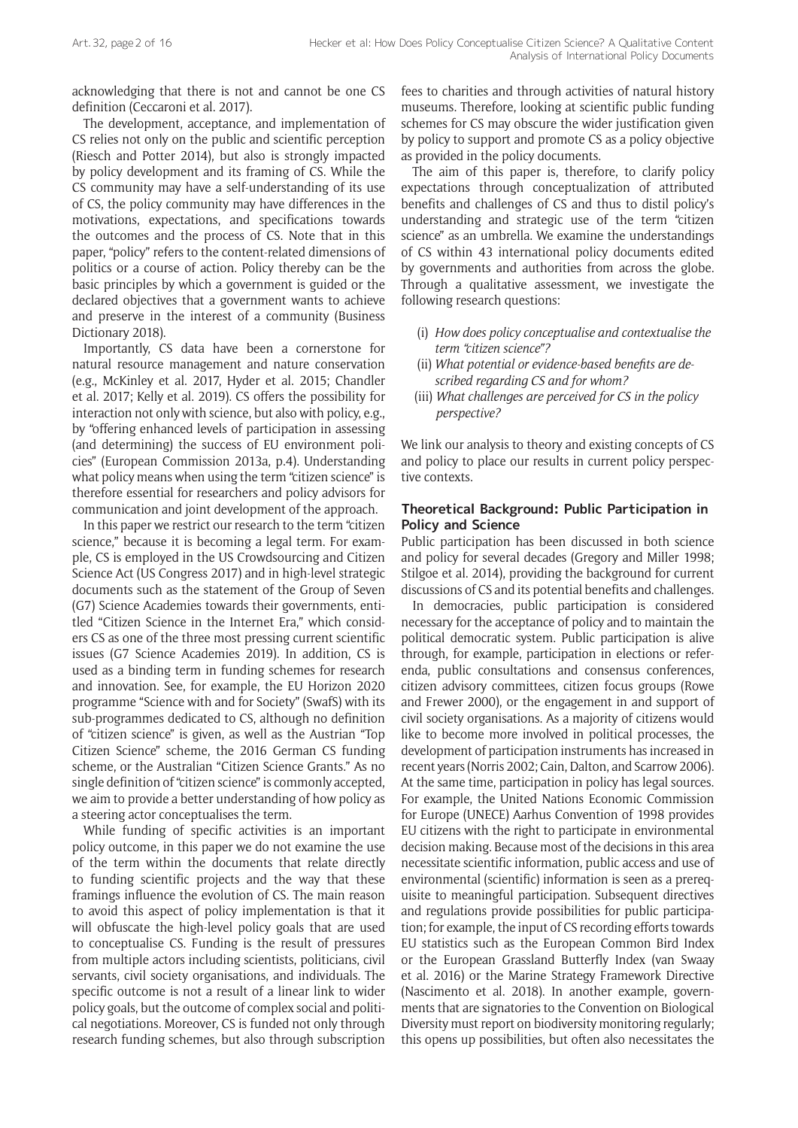acknowledging that there is not and cannot be one CS definition (Ceccaroni et al. 2017).

The development, acceptance, and implementation of CS relies not only on the public and scientific perception (Riesch and Potter 2014), but also is strongly impacted by policy development and its framing of CS. While the CS community may have a self-understanding of its use of CS, the policy community may have differences in the motivations, expectations, and specifications towards the outcomes and the process of CS. Note that in this paper, "policy" refers to the content-related dimensions of politics or a course of action. Policy thereby can be the basic principles by which a government is guided or the declared objectives that a government wants to achieve and preserve in the interest of a community (Business Dictionary 2018).

Importantly, CS data have been a cornerstone for natural resource management and nature conservation (e.g., McKinley et al. 2017, Hyder et al. 2015; Chandler et al. 2017; Kelly et al. 2019). CS offers the possibility for interaction not only with science, but also with policy, e.g., by "offering enhanced levels of participation in assessing (and determining) the success of EU environment policies" (European Commission 2013a, p.4). Understanding what policy means when using the term "citizen science" is therefore essential for researchers and policy advisors for communication and joint development of the approach.

In this paper we restrict our research to the term "citizen science," because it is becoming a legal term. For example, CS is employed in the US Crowdsourcing and Citizen Science Act (US Congress 2017) and in high-level strategic documents such as the statement of the Group of Seven (G7) Science Academies towards their governments, entitled "Citizen Science in the Internet Era," which considers CS as one of the three most pressing current scientific issues (G7 Science Academies 2019). In addition, CS is used as a binding term in funding schemes for research and innovation. See, for example, the EU Horizon 2020 programme "Science with and for Society" (SwafS) with its sub-programmes dedicated to CS, although no definition of "citizen science" is given, as well as the Austrian "Top Citizen Science" scheme, the 2016 German CS funding scheme, or the Australian "Citizen Science Grants." As no single definition of "citizen science" is commonly accepted, we aim to provide a better understanding of how policy as a steering actor conceptualises the term.

While funding of specific activities is an important policy outcome, in this paper we do not examine the use of the term within the documents that relate directly to funding scientific projects and the way that these framings influence the evolution of CS. The main reason to avoid this aspect of policy implementation is that it will obfuscate the high-level policy goals that are used to conceptualise CS. Funding is the result of pressures from multiple actors including scientists, politicians, civil servants, civil society organisations, and individuals. The specific outcome is not a result of a linear link to wider policy goals, but the outcome of complex social and political negotiations. Moreover, CS is funded not only through research funding schemes, but also through subscription fees to charities and through activities of natural history museums. Therefore, looking at scientific public funding schemes for CS may obscure the wider justification given by policy to support and promote CS as a policy objective as provided in the policy documents.

The aim of this paper is, therefore, to clarify policy expectations through conceptualization of attributed benefits and challenges of CS and thus to distil policy's understanding and strategic use of the term "citizen science" as an umbrella. We examine the understandings of CS within 43 international policy documents edited by governments and authorities from across the globe. Through a qualitative assessment, we investigate the following research questions:

- (i) *How does policy conceptualise and contextualise the term "citizen science"?*
- (ii) *What potential or evidence-based benefits are described regarding CS and for whom?*
- (iii) *What challenges are perceived for CS in the policy perspective?*

We link our analysis to theory and existing concepts of CS and policy to place our results in current policy perspective contexts.

## **Theoretical Background: Public Participation in Policy and Science**

Public participation has been discussed in both science and policy for several decades (Gregory and Miller 1998; Stilgoe et al. 2014), providing the background for current discussions of CS and its potential benefits and challenges.

In democracies, public participation is considered necessary for the acceptance of policy and to maintain the political democratic system. Public participation is alive through, for example, participation in elections or referenda, public consultations and consensus conferences, citizen advisory committees, citizen focus groups (Rowe and Frewer 2000), or the engagement in and support of civil society organisations. As a majority of citizens would like to become more involved in political processes, the development of participation instruments has increased in recent years (Norris 2002; Cain, Dalton, and Scarrow 2006). At the same time, participation in policy has legal sources. For example, the United Nations Economic Commission for Europe (UNECE) Aarhus Convention of 1998 provides EU citizens with the right to participate in environmental decision making. Because most of the decisions in this area necessitate scientific information, public access and use of environmental (scientific) information is seen as a prerequisite to meaningful participation. Subsequent directives and regulations provide possibilities for public participation; for example, the input of CS recording efforts towards EU statistics such as the European Common Bird Index or the European Grassland Butterfly Index (van Swaay et al. 2016) or the Marine Strategy Framework Directive (Nascimento et al. 2018). In another example, governments that are signatories to the Convention on Biological Diversity must report on biodiversity monitoring regularly; this opens up possibilities, but often also necessitates the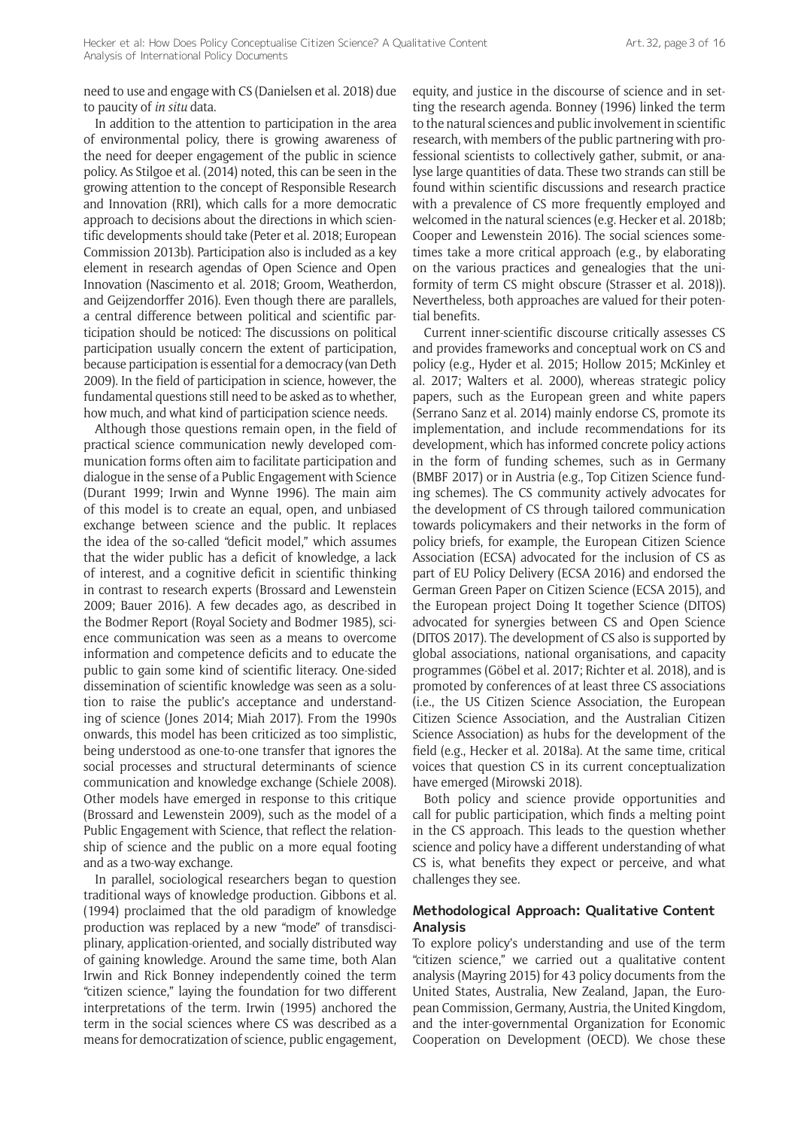need to use and engage with CS (Danielsen et al. 2018) due to paucity of *in situ* data.

In addition to the attention to participation in the area of environmental policy, there is growing awareness of the need for deeper engagement of the public in science policy. As Stilgoe et al. (2014) noted, this can be seen in the growing attention to the concept of Responsible Research and Innovation (RRI), which calls for a more democratic approach to decisions about the directions in which scientific developments should take (Peter et al. 2018; European Commission 2013b). Participation also is included as a key element in research agendas of Open Science and Open Innovation (Nascimento et al. 2018; Groom, Weatherdon, and Geijzendorffer 2016). Even though there are parallels, a central difference between political and scientific participation should be noticed: The discussions on political participation usually concern the extent of participation, because participation is essential for a democracy (van Deth 2009). In the field of participation in science, however, the fundamental questions still need to be asked as to whether, how much, and what kind of participation science needs.

Although those questions remain open, in the field of practical science communication newly developed communication forms often aim to facilitate participation and dialogue in the sense of a Public Engagement with Science (Durant 1999; Irwin and Wynne 1996). The main aim of this model is to create an equal, open, and unbiased exchange between science and the public. It replaces the idea of the so-called "deficit model," which assumes that the wider public has a deficit of knowledge, a lack of interest, and a cognitive deficit in scientific thinking in contrast to research experts (Brossard and Lewenstein 2009; Bauer 2016). A few decades ago, as described in the Bodmer Report (Royal Society and Bodmer 1985), science communication was seen as a means to overcome information and competence deficits and to educate the public to gain some kind of scientific literacy. One-sided dissemination of scientific knowledge was seen as a solution to raise the public's acceptance and understanding of science (Jones 2014; Miah 2017). From the 1990s onwards, this model has been criticized as too simplistic, being understood as one-to-one transfer that ignores the social processes and structural determinants of science communication and knowledge exchange (Schiele 2008). Other models have emerged in response to this critique (Brossard and Lewenstein 2009), such as the model of a Public Engagement with Science, that reflect the relationship of science and the public on a more equal footing and as a two-way exchange.

In parallel, sociological researchers began to question traditional ways of knowledge production. Gibbons et al. (1994) proclaimed that the old paradigm of knowledge production was replaced by a new "mode" of transdisciplinary, application-oriented, and socially distributed way of gaining knowledge. Around the same time, both Alan Irwin and Rick Bonney independently coined the term "citizen science," laying the foundation for two different interpretations of the term. Irwin (1995) anchored the term in the social sciences where CS was described as a means for democratization of science, public engagement, equity, and justice in the discourse of science and in setting the research agenda. Bonney (1996) linked the term to the natural sciences and public involvement in scientific research, with members of the public partnering with professional scientists to collectively gather, submit, or analyse large quantities of data. These two strands can still be found within scientific discussions and research practice with a prevalence of CS more frequently employed and welcomed in the natural sciences (e.g. Hecker et al. 2018b; Cooper and Lewenstein 2016). The social sciences sometimes take a more critical approach (e.g., by elaborating on the various practices and genealogies that the uniformity of term CS might obscure (Strasser et al. 2018)). Nevertheless, both approaches are valued for their potential benefits.

Current inner-scientific discourse critically assesses CS and provides frameworks and conceptual work on CS and policy (e.g., Hyder et al. 2015; Hollow 2015; McKinley et al. 2017; Walters et al. 2000), whereas strategic policy papers, such as the European green and white papers (Serrano Sanz et al. 2014) mainly endorse CS, promote its implementation, and include recommendations for its development, which has informed concrete policy actions in the form of funding schemes, such as in Germany (BMBF 2017) or in Austria (e.g., Top Citizen Science funding schemes). The CS community actively advocates for the development of CS through tailored communication towards policymakers and their networks in the form of policy briefs, for example, the European Citizen Science Association (ECSA) advocated for the inclusion of CS as part of EU Policy Delivery (ECSA 2016) and endorsed the German Green Paper on Citizen Science (ECSA 2015), and the European project Doing It together Science (DITOS) advocated for synergies between CS and Open Science (DITOS 2017). The development of CS also is supported by global associations, national organisations, and capacity programmes (Göbel et al. 2017; Richter et al. 2018), and is promoted by conferences of at least three CS associations (i.e., the US Citizen Science Association, the European Citizen Science Association, and the Australian Citizen Science Association) as hubs for the development of the field (e.g., Hecker et al. 2018a). At the same time, critical voices that question CS in its current conceptualization have emerged (Mirowski 2018).

Both policy and science provide opportunities and call for public participation, which finds a melting point in the CS approach. This leads to the question whether science and policy have a different understanding of what CS is, what benefits they expect or perceive, and what challenges they see.

## **Methodological Approach: Qualitative Content Analysis**

To explore policy's understanding and use of the term "citizen science," we carried out a qualitative content analysis (Mayring 2015) for 43 policy documents from the United States, Australia, New Zealand, Japan, the European Commission, Germany, Austria, the United Kingdom, and the inter-governmental Organization for Economic Cooperation on Development (OECD). We chose these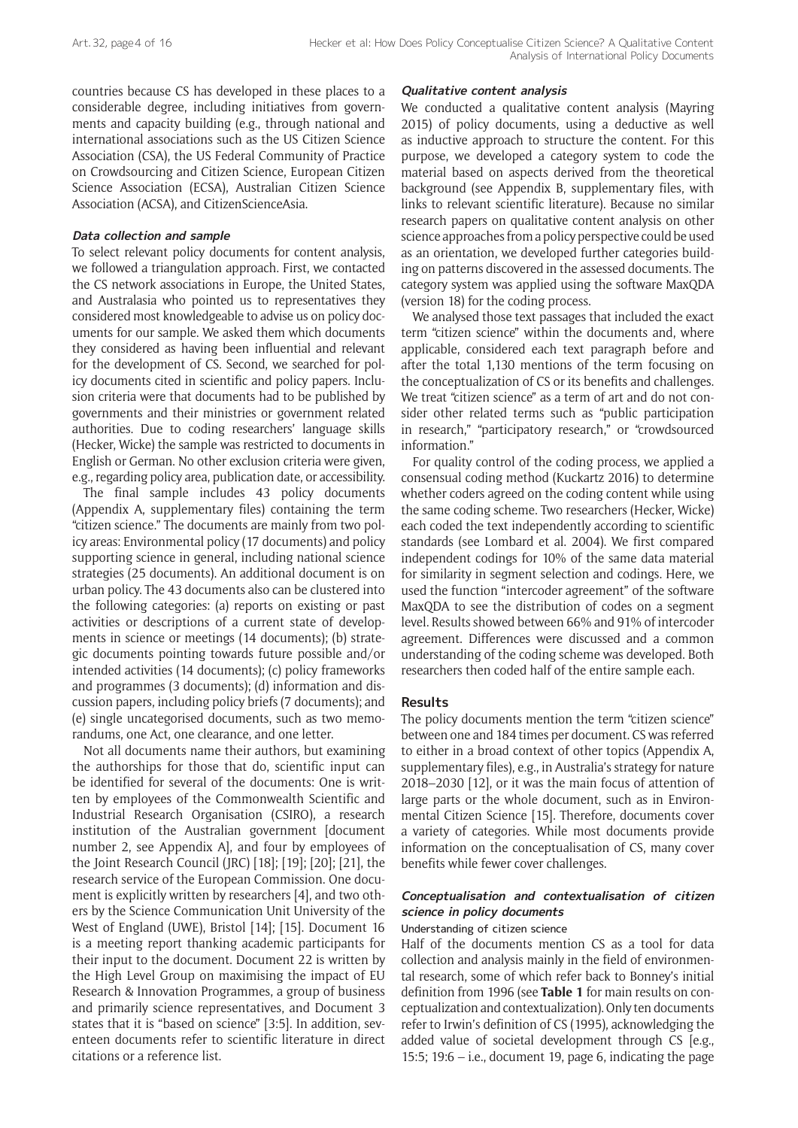countries because CS has developed in these places to a considerable degree, including initiatives from governments and capacity building (e.g., through national and international associations such as the US Citizen Science Association (CSA), the US Federal Community of Practice on Crowdsourcing and Citizen Science, European Citizen Science Association (ECSA), Australian Citizen Science Association (ACSA), and CitizenScienceAsia.

## **Data collection and sample**

To select relevant policy documents for content analysis, we followed a triangulation approach. First, we contacted the CS network associations in Europe, the United States, and Australasia who pointed us to representatives they considered most knowledgeable to advise us on policy documents for our sample. We asked them which documents they considered as having been influential and relevant for the development of CS. Second, we searched for policy documents cited in scientific and policy papers. Inclusion criteria were that documents had to be published by governments and their ministries or government related authorities. Due to coding researchers' language skills (Hecker, Wicke) the sample was restricted to documents in English or German. No other exclusion criteria were given, e.g., regarding policy area, publication date, or accessibility.

The final sample includes 43 policy documents (Appendix A, supplementary files) containing the term "citizen science." The documents are mainly from two policy areas: Environmental policy (17 documents) and policy supporting science in general, including national science strategies (25 documents). An additional document is on urban policy. The 43 documents also can be clustered into the following categories: (a) reports on existing or past activities or descriptions of a current state of developments in science or meetings (14 documents); (b) strategic documents pointing towards future possible and/or intended activities (14 documents); (c) policy frameworks and programmes (3 documents); (d) information and discussion papers, including policy briefs (7 documents); and (e) single uncategorised documents, such as two memorandums, one Act, one clearance, and one letter.

Not all documents name their authors, but examining the authorships for those that do, scientific input can be identified for several of the documents: One is written by employees of the Commonwealth Scientific and Industrial Research Organisation (CSIRO), a research institution of the Australian government [document number 2, see Appendix A], and four by employees of the Joint Research Council (JRC) [18]; [19]; [20]; [21], the research service of the European Commission. One document is explicitly written by researchers [4], and two others by the Science Communication Unit University of the West of England (UWE), Bristol [14]; [15]. Document 16 is a meeting report thanking academic participants for their input to the document. Document 22 is written by the High Level Group on maximising the impact of EU Research & Innovation Programmes, a group of business and primarily science representatives, and Document 3 states that it is "based on science" [3:5]. In addition, seventeen documents refer to scientific literature in direct citations or a reference list.

### **Qualitative content analysis**

We conducted a qualitative content analysis (Mayring 2015) of policy documents, using a deductive as well as inductive approach to structure the content. For this purpose, we developed a category system to code the material based on aspects derived from the theoretical background (see Appendix B, supplementary files, with links to relevant scientific literature). Because no similar research papers on qualitative content analysis on other science approaches from a policy perspective could be used as an orientation, we developed further categories building on patterns discovered in the assessed documents. The category system was applied using the software MaxQDA (version 18) for the coding process.

We analysed those text passages that included the exact term "citizen science" within the documents and, where applicable, considered each text paragraph before and after the total 1,130 mentions of the term focusing on the conceptualization of CS or its benefits and challenges. We treat "citizen science" as a term of art and do not consider other related terms such as "public participation in research," "participatory research," or "crowdsourced information."

For quality control of the coding process, we applied a consensual coding method (Kuckartz 2016) to determine whether coders agreed on the coding content while using the same coding scheme. Two researchers (Hecker, Wicke) each coded the text independently according to scientific standards (see Lombard et al. 2004). We first compared independent codings for 10% of the same data material for similarity in segment selection and codings. Here, we used the function "intercoder agreement" of the software MaxQDA to see the distribution of codes on a segment level. Results showed between 66% and 91% of intercoder agreement. Differences were discussed and a common understanding of the coding scheme was developed. Both researchers then coded half of the entire sample each.

## **Results**

The policy documents mention the term "citizen science" between one and 184 times per document. CS was referred to either in a broad context of other topics (Appendix A, supplementary files), e.g., in Australia's strategy for nature 2018–2030 [12], or it was the main focus of attention of large parts or the whole document, such as in Environmental Citizen Science [15]. Therefore, documents cover a variety of categories. While most documents provide information on the conceptualisation of CS, many cover benefits while fewer cover challenges.

## **Conceptualisation and contextualisation of citizen science in policy documents**

#### Understanding of citizen science

Half of the documents mention CS as a tool for data collection and analysis mainly in the field of environmental research, some of which refer back to Bonney's initial definition from 1996 (see **Table 1** for main results on conceptualization and contextualization). Only ten documents refer to Irwin's definition of CS (1995), acknowledging the added value of societal development through CS [e.g., 15:5;  $19:6 - i.e.,$  document 19, page 6, indicating the page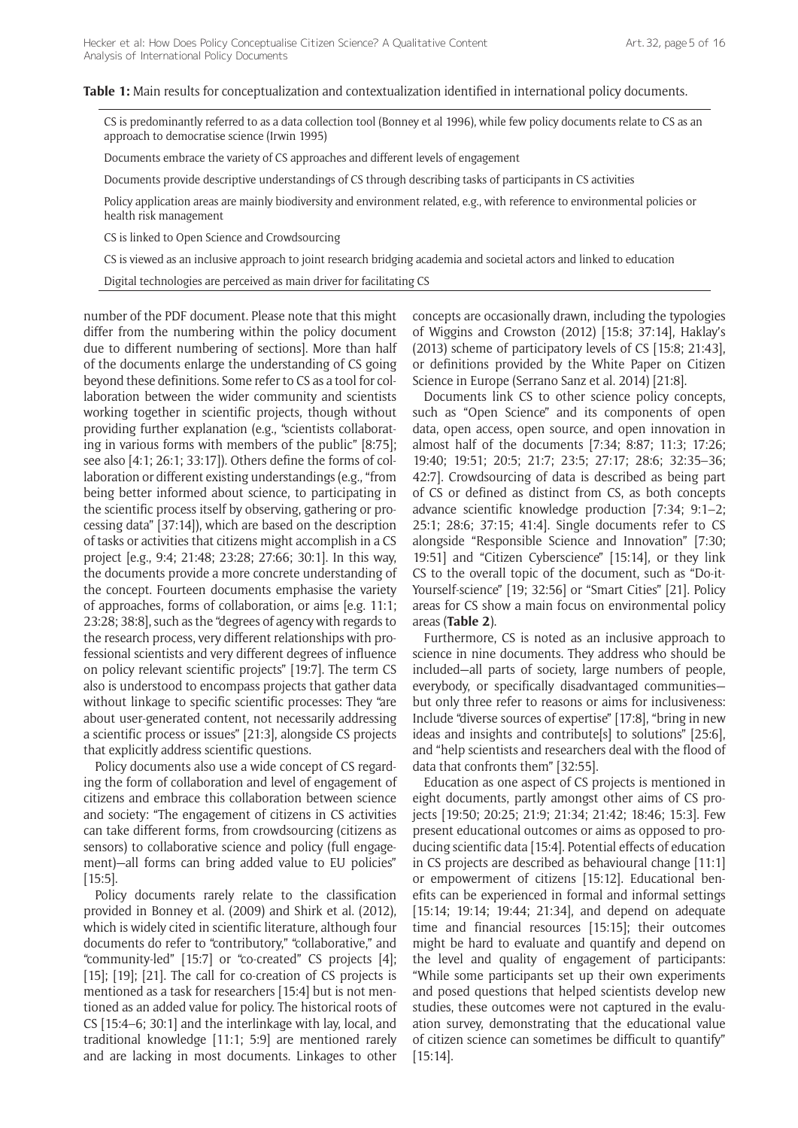**Table 1:** Main results for conceptualization and contextualization identified in international policy documents.

CS is predominantly referred to as a data collection tool (Bonney et al 1996), while few policy documents relate to CS as an approach to democratise science (Irwin 1995)

Documents embrace the variety of CS approaches and different levels of engagement

Documents provide descriptive understandings of CS through describing tasks of participants in CS activities

Policy application areas are mainly biodiversity and environment related, e.g., with reference to environmental policies or health risk management

CS is linked to Open Science and Crowdsourcing

CS is viewed as an inclusive approach to joint research bridging academia and societal actors and linked to education

Digital technologies are perceived as main driver for facilitating CS

number of the PDF document. Please note that this might differ from the numbering within the policy document due to different numbering of sections]. More than half of the documents enlarge the understanding of CS going beyond these definitions. Some refer to CS as a tool for collaboration between the wider community and scientists working together in scientific projects, though without providing further explanation (e.g., "scientists collaborating in various forms with members of the public" [8:75]; see also [4:1; 26:1; 33:17]). Others define the forms of collaboration or different existing understandings (e.g., "from being better informed about science, to participating in the scientific process itself by observing, gathering or processing data" [37:14]), which are based on the description of tasks or activities that citizens might accomplish in a CS project [e.g., 9:4; 21:48; 23:28; 27:66; 30:1]. In this way, the documents provide a more concrete understanding of the concept. Fourteen documents emphasise the variety of approaches, forms of collaboration, or aims [e.g. 11:1; 23:28; 38:8], such as the "degrees of agency with regards to the research process, very different relationships with professional scientists and very different degrees of influence on policy relevant scientific projects" [19:7]. The term CS also is understood to encompass projects that gather data without linkage to specific scientific processes: They "are about user-generated content, not necessarily addressing a scientific process or issues" [21:3], alongside CS projects that explicitly address scientific questions.

Policy documents also use a wide concept of CS regarding the form of collaboration and level of engagement of citizens and embrace this collaboration between science and society: "The engagement of citizens in CS activities can take different forms, from crowdsourcing (citizens as sensors) to collaborative science and policy (full engagement)—all forms can bring added value to EU policies" [15:5].

Policy documents rarely relate to the classification provided in Bonney et al. (2009) and Shirk et al. (2012), which is widely cited in scientific literature, although four documents do refer to "contributory," "collaborative," and "community-led" [15:7] or "co-created" CS projects [4]; [15]; [19]; [21]. The call for co-creation of CS projects is mentioned as a task for researchers [15:4] but is not mentioned as an added value for policy. The historical roots of CS [15:4–6; 30:1] and the interlinkage with lay, local, and traditional knowledge [11:1; 5:9] are mentioned rarely and are lacking in most documents. Linkages to other concepts are occasionally drawn, including the typologies of Wiggins and Crowston (2012) [15:8; 37:14], Haklay's (2013) scheme of participatory levels of CS [15:8; 21:43], or definitions provided by the White Paper on Citizen Science in Europe (Serrano Sanz et al. 2014) [21:8].

Documents link CS to other science policy concepts, such as "Open Science" and its components of open data, open access, open source, and open innovation in almost half of the documents [7:34; 8:87; 11:3; 17:26; 19:40; 19:51; 20:5; 21:7; 23:5; 27:17; 28:6; 32:35–36; 42:7]. Crowdsourcing of data is described as being part of CS or defined as distinct from CS, as both concepts advance scientific knowledge production [7:34; 9:1–2; 25:1; 28:6; 37:15; 41:4]. Single documents refer to CS alongside "Responsible Science and Innovation" [7:30; 19:51] and "Citizen Cyberscience" [15:14], or they link CS to the overall topic of the document, such as "Do-it-Yourself-science" [19; 32:56] or "Smart Cities" [21]. Policy areas for CS show a main focus on environmental policy areas (**Table 2**).

Furthermore, CS is noted as an inclusive approach to science in nine documents. They address who should be included—all parts of society, large numbers of people, everybody, or specifically disadvantaged communities but only three refer to reasons or aims for inclusiveness: Include "diverse sources of expertise" [17:8], "bring in new ideas and insights and contribute[s] to solutions" [25:6], and "help scientists and researchers deal with the flood of data that confronts them" [32:55].

Education as one aspect of CS projects is mentioned in eight documents, partly amongst other aims of CS projects [19:50; 20:25; 21:9; 21:34; 21:42; 18:46; 15:3]. Few present educational outcomes or aims as opposed to producing scientific data [15:4]. Potential effects of education in CS projects are described as behavioural change [11:1] or empowerment of citizens [15:12]. Educational benefits can be experienced in formal and informal settings [15:14; 19:14; 19:44; 21:34], and depend on adequate time and financial resources [15:15]; their outcomes might be hard to evaluate and quantify and depend on the level and quality of engagement of participants: "While some participants set up their own experiments and posed questions that helped scientists develop new studies, these outcomes were not captured in the evaluation survey, demonstrating that the educational value of citizen science can sometimes be difficult to quantify" [15:14].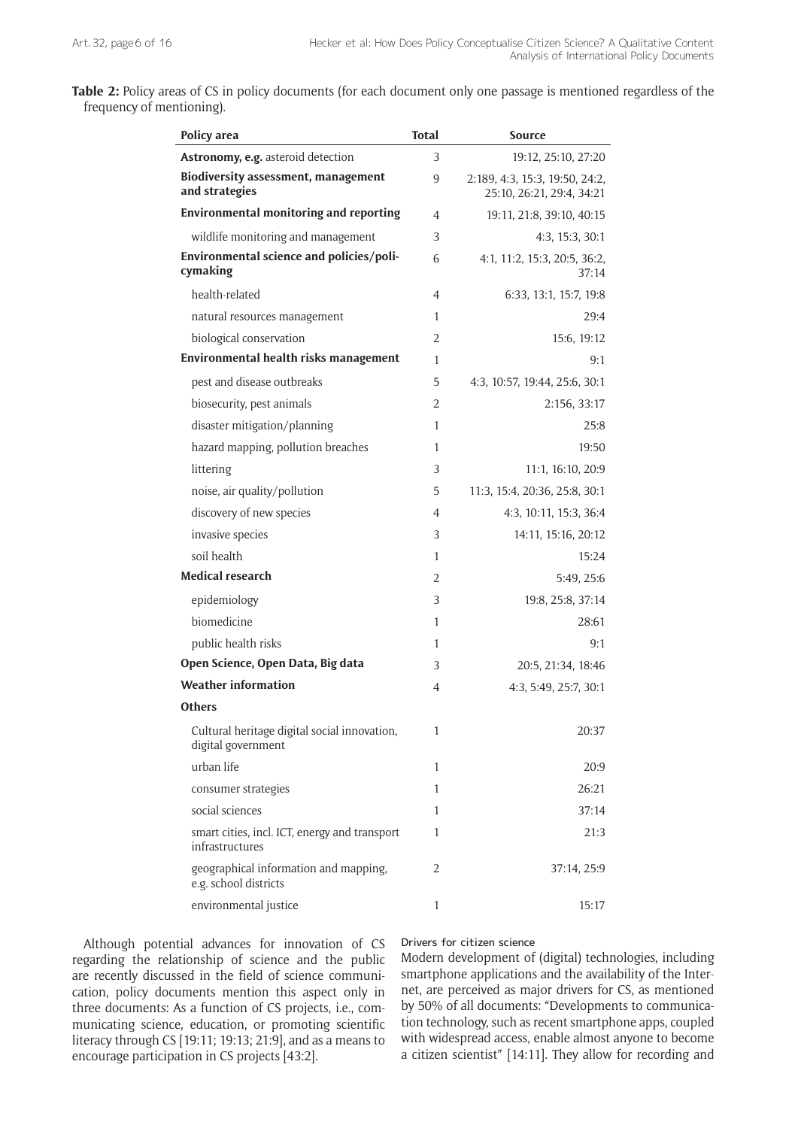| Table 2: Policy areas of CS in policy documents (for each document only one passage is mentioned regardless of the |  |  |
|--------------------------------------------------------------------------------------------------------------------|--|--|
| frequency of mentioning).                                                                                          |  |  |

| Policy area                                                        | <b>Total</b> | <b>Source</b>                                               |
|--------------------------------------------------------------------|--------------|-------------------------------------------------------------|
| Astronomy, e.g. asteroid detection                                 | 3            | 19:12, 25:10, 27:20                                         |
| Biodiversity assessment, management<br>and strategies              | 9            | 2:189, 4:3, 15:3, 19:50, 24:2,<br>25:10, 26:21, 29:4, 34:21 |
| <b>Environmental monitoring and reporting</b>                      | 4            | 19:11, 21:8, 39:10, 40:15                                   |
| wildlife monitoring and management                                 | 3            | 4:3, 15:3, 30:1                                             |
| Environmental science and policies/poli-<br>cymaking               | 6            | 4:1, 11:2, 15:3, 20:5, 36:2,<br>37:14                       |
| health-related                                                     | 4            | 6:33, 13:1, 15:7, 19:8                                      |
| natural resources management                                       | 1            | 29:4                                                        |
| biological conservation                                            | 2            | 15:6, 19:12                                                 |
| Environmental health risks management                              | 1            | 9:1                                                         |
| pest and disease outbreaks                                         | 5            | 4:3, 10:57, 19:44, 25:6, 30:1                               |
| biosecurity, pest animals                                          | 2            | 2:156, 33:17                                                |
| disaster mitigation/planning                                       | 1            | 25:8                                                        |
| hazard mapping, pollution breaches                                 | 1            | 19:50                                                       |
| littering                                                          | 3            | 11:1, 16:10, 20:9                                           |
| noise, air quality/pollution                                       | 5            | 11:3, 15:4, 20:36, 25:8, 30:1                               |
| discovery of new species                                           | 4            | 4:3, 10:11, 15:3, 36:4                                      |
| invasive species                                                   | 3            | 14:11, 15:16, 20:12                                         |
| soil health                                                        | 1            | 15:24                                                       |
| <b>Medical research</b>                                            | 2            | 5:49, 25:6                                                  |
| epidemiology                                                       | 3            | 19:8, 25:8, 37:14                                           |
| biomedicine                                                        | 1            | 28:61                                                       |
| public health risks                                                | 1            | 9:1                                                         |
| Open Science, Open Data, Big data                                  | 3            | 20:5, 21:34, 18:46                                          |
| <b>Weather information</b>                                         | 4            | 4:3, 5:49, 25:7, 30:1                                       |
| <b>Others</b>                                                      |              |                                                             |
| Cultural heritage digital social innovation,<br>digital government | 1            | 20:37                                                       |
| urban life                                                         | 1            | 20:9                                                        |
| consumer strategies                                                | 1            | 26:21                                                       |
| social sciences                                                    | 1            | 37:14                                                       |
| smart cities, incl. ICT, energy and transport<br>infrastructures   | 1            | 21:3                                                        |
| geographical information and mapping,<br>e.g. school districts     | 2            | 37:14, 25:9                                                 |
| environmental justice                                              | 1            | 15:17                                                       |

Although potential advances for innovation of CS regarding the relationship of science and the public are recently discussed in the field of science communication, policy documents mention this aspect only in three documents: As a function of CS projects, i.e., communicating science, education, or promoting scientific literacy through CS [19:11; 19:13; 21:9], and as a means to encourage participation in CS projects [43:2].

## Drivers for citizen science

Modern development of (digital) technologies, including smartphone applications and the availability of the Internet, are perceived as major drivers for CS, as mentioned by 50% of all documents: "Developments to communication technology, such as recent smartphone apps, coupled with widespread access, enable almost anyone to become a citizen scientist" [14:11]. They allow for recording and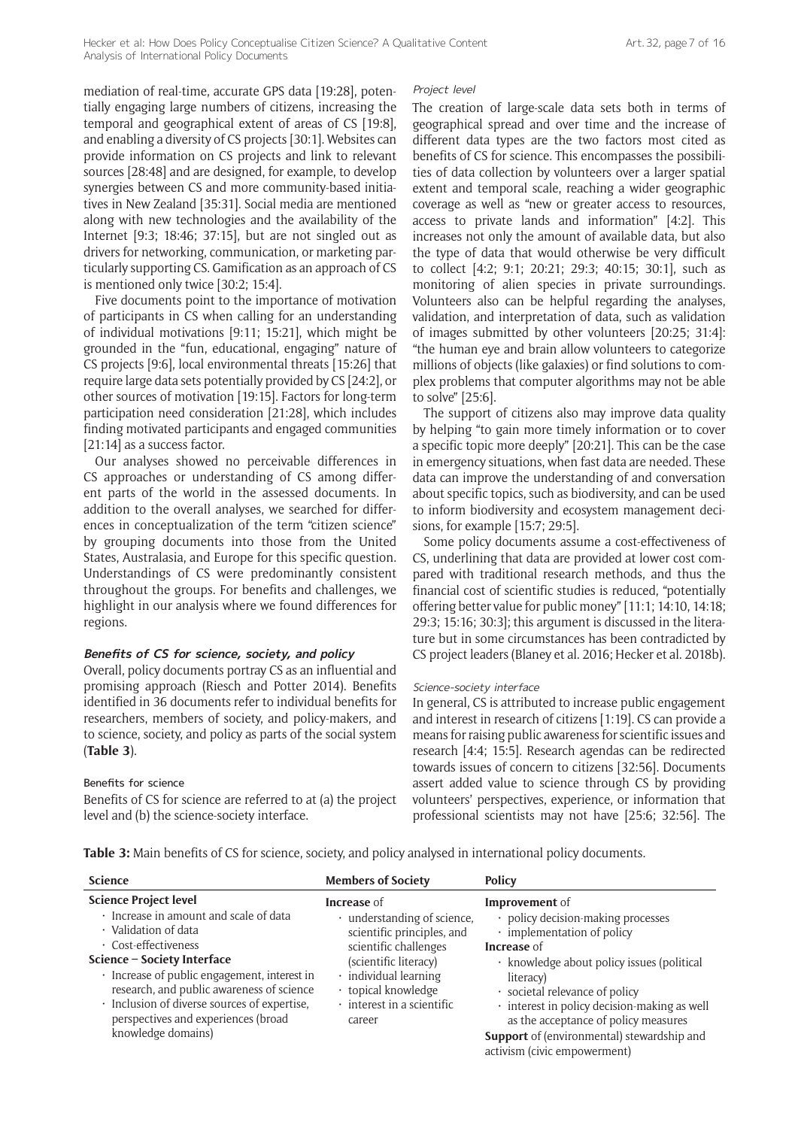mediation of real-time, accurate GPS data [19:28], potentially engaging large numbers of citizens, increasing the temporal and geographical extent of areas of CS [19:8], and enabling a diversity of CS projects [30:1]. Websites can provide information on CS projects and link to relevant sources [28:48] and are designed, for example, to develop synergies between CS and more community-based initiatives in New Zealand [35:31]. Social media are mentioned along with new technologies and the availability of the Internet [9:3; 18:46; 37:15], but are not singled out as drivers for networking, communication, or marketing particularly supporting CS. Gamification as an approach of CS is mentioned only twice [30:2; 15:4].

Five documents point to the importance of motivation of participants in CS when calling for an understanding of individual motivations [9:11; 15:21], which might be grounded in the "fun, educational, engaging" nature of CS projects [9:6], local environmental threats [15:26] that require large data sets potentially provided by CS [24:2], or other sources of motivation [19:15]. Factors for long-term participation need consideration [21:28], which includes finding motivated participants and engaged communities [21:14] as a success factor.

Our analyses showed no perceivable differences in CS approaches or understanding of CS among different parts of the world in the assessed documents. In addition to the overall analyses, we searched for differences in conceptualization of the term "citizen science" by grouping documents into those from the United States, Australasia, and Europe for this specific question. Understandings of CS were predominantly consistent throughout the groups. For benefits and challenges, we highlight in our analysis where we found differences for regions.

#### **Benefits of CS for science, society, and policy**

Overall, policy documents portray CS as an influential and promising approach (Riesch and Potter 2014). Benefits identified in 36 documents refer to individual benefits for researchers, members of society, and policy-makers, and to science, society, and policy as parts of the social system (**Table 3**).

#### Benefits for science

Benefits of CS for science are referred to at (a) the project level and (b) the science-society interface.

#### Project level

The creation of large-scale data sets both in terms of geographical spread and over time and the increase of different data types are the two factors most cited as benefits of CS for science. This encompasses the possibilities of data collection by volunteers over a larger spatial extent and temporal scale, reaching a wider geographic coverage as well as "new or greater access to resources, access to private lands and information" [4:2]. This increases not only the amount of available data, but also the type of data that would otherwise be very difficult to collect [4:2; 9:1; 20:21; 29:3; 40:15; 30:1], such as monitoring of alien species in private surroundings. Volunteers also can be helpful regarding the analyses, validation, and interpretation of data, such as validation of images submitted by other volunteers [20:25; 31:4]: "the human eye and brain allow volunteers to categorize millions of objects (like galaxies) or find solutions to complex problems that computer algorithms may not be able to solve" [25:6].

The support of citizens also may improve data quality by helping "to gain more timely information or to cover a specific topic more deeply" [20:21]. This can be the case in emergency situations, when fast data are needed. These data can improve the understanding of and conversation about specific topics, such as biodiversity, and can be used to inform biodiversity and ecosystem management decisions, for example [15:7; 29:5].

Some policy documents assume a cost-effectiveness of CS, underlining that data are provided at lower cost compared with traditional research methods, and thus the financial cost of scientific studies is reduced, "potentially offering better value for public money" [11:1; 14:10, 14:18; 29:3; 15:16; 30:3]; this argument is discussed in the literature but in some circumstances has been contradicted by CS project leaders (Blaney et al. 2016; Hecker et al. 2018b).

#### Science-society interface

In general, CS is attributed to increase public engagement and interest in research of citizens [1:19]. CS can provide a means for raising public awareness for scientific issues and research [4:4; 15:5]. Research agendas can be redirected towards issues of concern to citizens [32:56]. Documents assert added value to science through CS by providing volunteers' perspectives, experience, or information that professional scientists may not have [25:6; 32:56]. The

**Table 3:** Main benefits of CS for science, society, and policy analysed in international policy documents.

| <b>Science</b>                                                                                                                                                                                                                                                                                                                                                        | <b>Members of Society</b>                                                                                                                                                                                                             | <b>Policy</b>                                                                                                                                                                                                                                                                                                                                                                           |
|-----------------------------------------------------------------------------------------------------------------------------------------------------------------------------------------------------------------------------------------------------------------------------------------------------------------------------------------------------------------------|---------------------------------------------------------------------------------------------------------------------------------------------------------------------------------------------------------------------------------------|-----------------------------------------------------------------------------------------------------------------------------------------------------------------------------------------------------------------------------------------------------------------------------------------------------------------------------------------------------------------------------------------|
| <b>Science Project level</b><br>· Increase in amount and scale of data<br>· Validation of data<br>$\cdot$ Cost-effectiveness<br>Science - Society Interface<br>· Increase of public engagement, interest in<br>research, and public awareness of science<br>· Inclusion of diverse sources of expertise,<br>perspectives and experiences (broad<br>knowledge domains) | <b>Increase</b> of<br>$\cdot$ understanding of science,<br>scientific principles, and<br>scientific challenges<br>(scientific literacy)<br>$\cdot$ individual learning<br>· topical knowledge<br>· interest in a scientific<br>career | Improvement of<br>• policy decision-making processes<br>$\cdot$ implementation of policy<br><b>Increase</b> of<br>· knowledge about policy issues (political<br>literacy)<br>$\cdot$ societal relevance of policy<br>· interest in policy decision-making as well<br>as the acceptance of policy measures<br>Support of (environmental) stewardship and<br>activism (civic empowerment) |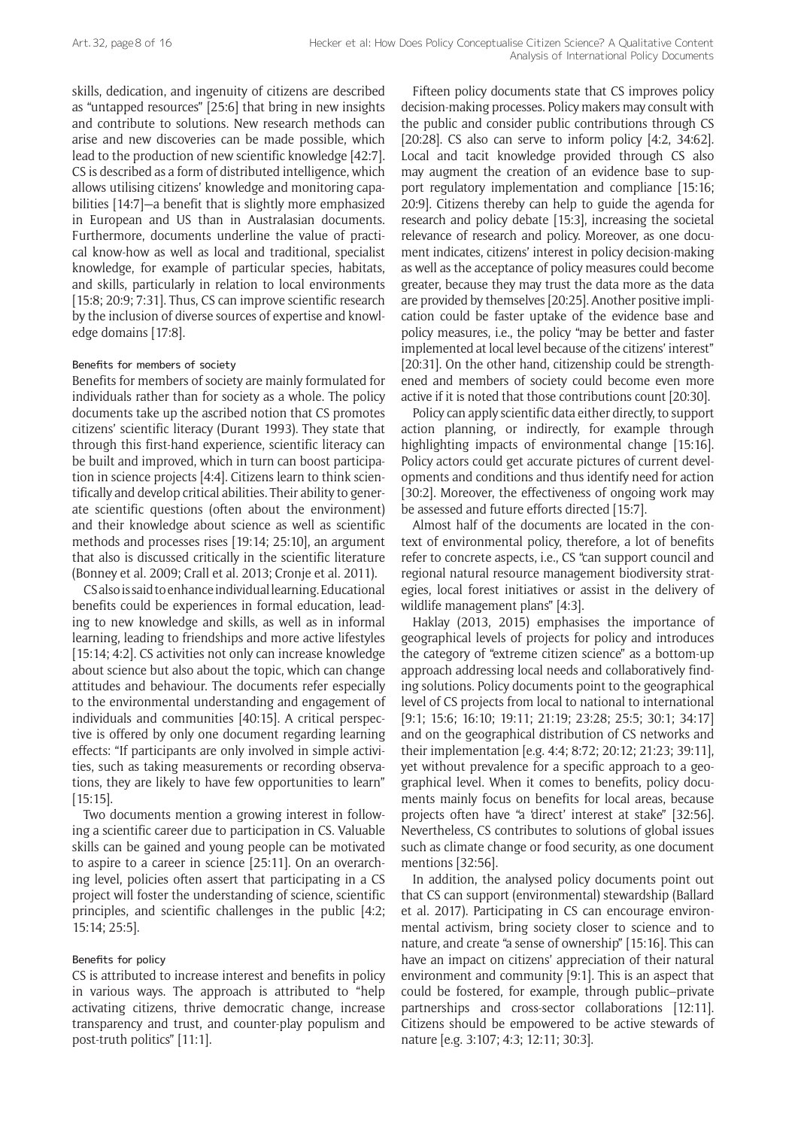skills, dedication, and ingenuity of citizens are described as "untapped resources" [25:6] that bring in new insights and contribute to solutions. New research methods can arise and new discoveries can be made possible, which lead to the production of new scientific knowledge [42:7]. CS is described as a form of distributed intelligence, which allows utilising citizens' knowledge and monitoring capabilities [14:7]—a benefit that is slightly more emphasized in European and US than in Australasian documents. Furthermore, documents underline the value of practical know-how as well as local and traditional, specialist knowledge, for example of particular species, habitats, and skills, particularly in relation to local environments [15:8; 20:9; 7:31]. Thus, CS can improve scientific research by the inclusion of diverse sources of expertise and knowledge domains [17:8].

### Benefits for members of society

Benefits for members of society are mainly formulated for individuals rather than for society as a whole. The policy documents take up the ascribed notion that CS promotes citizens' scientific literacy (Durant 1993). They state that through this first-hand experience, scientific literacy can be built and improved, which in turn can boost participation in science projects [4:4]. Citizens learn to think scientifically and develop critical abilities. Their ability to generate scientific questions (often about the environment) and their knowledge about science as well as scientific methods and processes rises [19:14; 25:10], an argument that also is discussed critically in the scientific literature (Bonney et al. 2009; Crall et al. 2013; Cronje et al. 2011).

CS also is said to enhance individual learning. Educational benefits could be experiences in formal education, leading to new knowledge and skills, as well as in informal learning, leading to friendships and more active lifestyles [15:14; 4:2]. CS activities not only can increase knowledge about science but also about the topic, which can change attitudes and behaviour. The documents refer especially to the environmental understanding and engagement of individuals and communities [40:15]. A critical perspective is offered by only one document regarding learning effects: "If participants are only involved in simple activities, such as taking measurements or recording observations, they are likely to have few opportunities to learn" [15:15].

Two documents mention a growing interest in following a scientific career due to participation in CS. Valuable skills can be gained and young people can be motivated to aspire to a career in science [25:11]. On an overarching level, policies often assert that participating in a CS project will foster the understanding of science, scientific principles, and scientific challenges in the public [4:2; 15:14; 25:5].

#### Benefits for policy

CS is attributed to increase interest and benefits in policy in various ways. The approach is attributed to "help activating citizens, thrive democratic change, increase transparency and trust, and counter-play populism and post-truth politics" [11:1].

Fifteen policy documents state that CS improves policy decision-making processes. Policy makers may consult with the public and consider public contributions through CS [20:28]. CS also can serve to inform policy [4:2, 34:62]. Local and tacit knowledge provided through CS also may augment the creation of an evidence base to support regulatory implementation and compliance [15:16; 20:9]. Citizens thereby can help to guide the agenda for research and policy debate [15:3], increasing the societal relevance of research and policy. Moreover, as one document indicates, citizens' interest in policy decision-making as well as the acceptance of policy measures could become greater, because they may trust the data more as the data are provided by themselves [20:25]. Another positive implication could be faster uptake of the evidence base and policy measures, i.e., the policy "may be better and faster implemented at local level because of the citizens' interest" [20:31]. On the other hand, citizenship could be strengthened and members of society could become even more active if it is noted that those contributions count [20:30].

Policy can apply scientific data either directly, to support action planning, or indirectly, for example through highlighting impacts of environmental change [15:16]. Policy actors could get accurate pictures of current developments and conditions and thus identify need for action [30:2]. Moreover, the effectiveness of ongoing work may be assessed and future efforts directed [15:7].

Almost half of the documents are located in the context of environmental policy, therefore, a lot of benefits refer to concrete aspects, i.e., CS "can support council and regional natural resource management biodiversity strategies, local forest initiatives or assist in the delivery of wildlife management plans" [4:3].

Haklay (2013, 2015) emphasises the importance of geographical levels of projects for policy and introduces the category of "extreme citizen science" as a bottom-up approach addressing local needs and collaboratively finding solutions. Policy documents point to the geographical level of CS projects from local to national to international [9:1; 15:6; 16:10; 19:11; 21:19; 23:28; 25:5; 30:1; 34:17] and on the geographical distribution of CS networks and their implementation [e.g. 4:4; 8:72; 20:12; 21:23; 39:11], yet without prevalence for a specific approach to a geographical level. When it comes to benefits, policy documents mainly focus on benefits for local areas, because projects often have "a 'direct' interest at stake" [32:56]. Nevertheless, CS contributes to solutions of global issues such as climate change or food security, as one document mentions [32:56].

In addition, the analysed policy documents point out that CS can support (environmental) stewardship (Ballard et al. 2017). Participating in CS can encourage environmental activism, bring society closer to science and to nature, and create "a sense of ownership" [15:16]. This can have an impact on citizens' appreciation of their natural environment and community [9:1]. This is an aspect that could be fostered, for example, through public–private partnerships and cross-sector collaborations [12:11]. Citizens should be empowered to be active stewards of nature [e.g. 3:107; 4:3; 12:11; 30:3].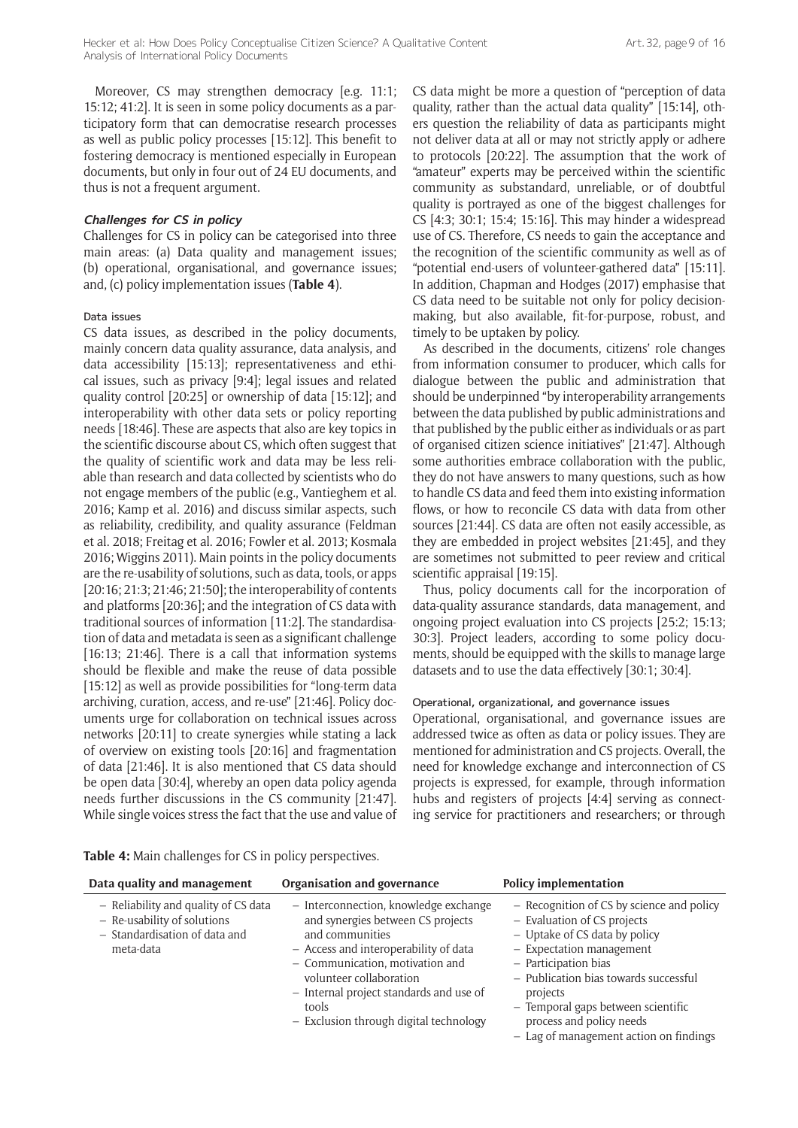Moreover, CS may strengthen democracy [e.g. 11:1; 15:12; 41:2]. It is seen in some policy documents as a participatory form that can democratise research processes as well as public policy processes [15:12]. This benefit to fostering democracy is mentioned especially in European documents, but only in four out of 24 EU documents, and thus is not a frequent argument.

#### **Challenges for CS in policy**

Challenges for CS in policy can be categorised into three main areas: (a) Data quality and management issues; (b) operational, organisational, and governance issues; and, (c) policy implementation issues (**Table 4**).

### Data issues

CS data issues, as described in the policy documents, mainly concern data quality assurance, data analysis, and data accessibility [15:13]; representativeness and ethical issues, such as privacy [9:4]; legal issues and related quality control [20:25] or ownership of data [15:12]; and interoperability with other data sets or policy reporting needs [18:46]. These are aspects that also are key topics in the scientific discourse about CS, which often suggest that the quality of scientific work and data may be less reliable than research and data collected by scientists who do not engage members of the public (e.g., Vantieghem et al. 2016; Kamp et al. 2016) and discuss similar aspects, such as reliability, credibility, and quality assurance (Feldman et al. 2018; Freitag et al. 2016; Fowler et al. 2013; Kosmala 2016; Wiggins 2011). Main points in the policy documents are the re-usability of solutions, such as data, tools, or apps [20:16; 21:3; 21:46; 21:50]; the interoperability of contents and platforms [20:36]; and the integration of CS data with traditional sources of information [11:2]. The standardisation of data and metadata is seen as a significant challenge [16:13; 21:46]. There is a call that information systems should be flexible and make the reuse of data possible [15:12] as well as provide possibilities for "long-term data archiving, curation, access, and re-use" [21:46]. Policy documents urge for collaboration on technical issues across networks [20:11] to create synergies while stating a lack of overview on existing tools [20:16] and fragmentation of data [21:46]. It is also mentioned that CS data should be open data [30:4], whereby an open data policy agenda needs further discussions in the CS community [21:47]. While single voices stress the fact that the use and value of CS data might be more a question of "perception of data quality, rather than the actual data quality" [15:14], others question the reliability of data as participants might not deliver data at all or may not strictly apply or adhere to protocols [20:22]. The assumption that the work of "amateur" experts may be perceived within the scientific community as substandard, unreliable, or of doubtful quality is portrayed as one of the biggest challenges for CS [4:3; 30:1; 15:4; 15:16]. This may hinder a widespread use of CS. Therefore, CS needs to gain the acceptance and the recognition of the scientific community as well as of "potential end-users of volunteer-gathered data" [15:11]. In addition, Chapman and Hodges (2017) emphasise that CS data need to be suitable not only for policy decisionmaking, but also available, fit-for-purpose, robust, and timely to be uptaken by policy.

As described in the documents, citizens' role changes from information consumer to producer, which calls for dialogue between the public and administration that should be underpinned "by interoperability arrangements between the data published by public administrations and that published by the public either as individuals or as part of organised citizen science initiatives" [21:47]. Although some authorities embrace collaboration with the public, they do not have answers to many questions, such as how to handle CS data and feed them into existing information flows, or how to reconcile CS data with data from other sources [21:44]. CS data are often not easily accessible, as they are embedded in project websites [21:45], and they are sometimes not submitted to peer review and critical scientific appraisal [19:15].

Thus, policy documents call for the incorporation of data-quality assurance standards, data management, and ongoing project evaluation into CS projects [25:2; 15:13; 30:3]. Project leaders, according to some policy documents, should be equipped with the skills to manage large datasets and to use the data effectively [30:1; 30:4].

### Operational, organizational, and governance issues

Operational, organisational, and governance issues are addressed twice as often as data or policy issues. They are mentioned for administration and CS projects. Overall, the need for knowledge exchange and interconnection of CS projects is expressed, for example, through information hubs and registers of projects [4:4] serving as connecting service for practitioners and researchers; or through

**Table 4:** Main challenges for CS in policy perspectives.

| Data quality and management                                                                                       | Organisation and governance                                                                                                                                                                                                                                                                        | <b>Policy implementation</b>                                                                                                                                                                                                                                                                                                     |
|-------------------------------------------------------------------------------------------------------------------|----------------------------------------------------------------------------------------------------------------------------------------------------------------------------------------------------------------------------------------------------------------------------------------------------|----------------------------------------------------------------------------------------------------------------------------------------------------------------------------------------------------------------------------------------------------------------------------------------------------------------------------------|
| - Reliability and quality of CS data<br>- Re-usability of solutions<br>- Standardisation of data and<br>meta-data | - Interconnection, knowledge exchange<br>and synergies between CS projects<br>and communities<br>- Access and interoperability of data<br>- Communication, motivation and<br>volunteer collaboration<br>- Internal project standards and use of<br>tools<br>- Exclusion through digital technology | - Recognition of CS by science and policy<br>- Evaluation of CS projects<br>- Uptake of CS data by policy<br>$-$ Expectation management<br>- Participation bias<br>- Publication bias towards successful<br>projects<br>- Temporal gaps between scientific<br>process and policy needs<br>- Lag of management action on findings |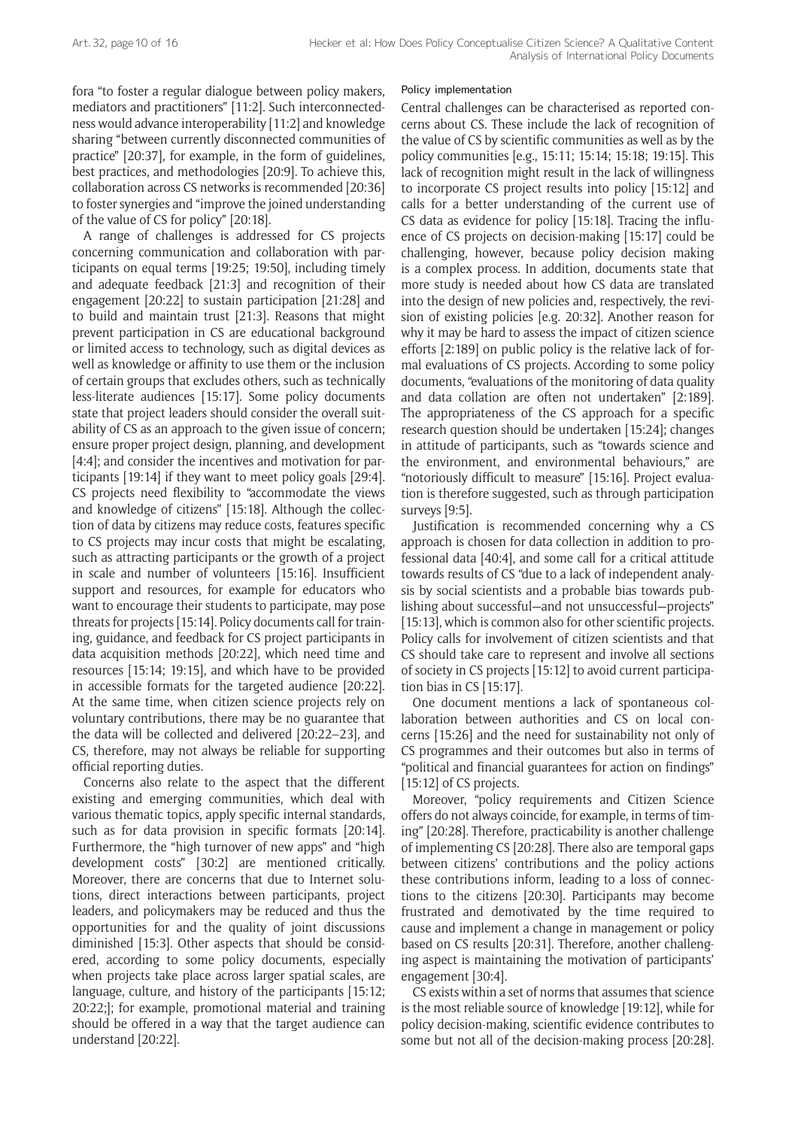fora "to foster a regular dialogue between policy makers, mediators and practitioners" [11:2]. Such interconnectedness would advance interoperability [11:2] and knowledge sharing "between currently disconnected communities of practice" [20:37], for example, in the form of guidelines, best practices, and methodologies [20:9]. To achieve this, collaboration across CS networks is recommended [20:36] to foster synergies and "improve the joined understanding of the value of CS for policy" [20:18].

A range of challenges is addressed for CS projects concerning communication and collaboration with participants on equal terms [19:25; 19:50], including timely and adequate feedback [21:3] and recognition of their engagement [20:22] to sustain participation [21:28] and to build and maintain trust [21:3]. Reasons that might prevent participation in CS are educational background or limited access to technology, such as digital devices as well as knowledge or affinity to use them or the inclusion of certain groups that excludes others, such as technically less-literate audiences [15:17]. Some policy documents state that project leaders should consider the overall suitability of CS as an approach to the given issue of concern; ensure proper project design, planning, and development [4:4]; and consider the incentives and motivation for participants [19:14] if they want to meet policy goals [29:4]. CS projects need flexibility to "accommodate the views and knowledge of citizens" [15:18]. Although the collection of data by citizens may reduce costs, features specific to CS projects may incur costs that might be escalating, such as attracting participants or the growth of a project in scale and number of volunteers [15:16]. Insufficient support and resources, for example for educators who want to encourage their students to participate, may pose threats for projects [15:14]. Policy documents call for training, guidance, and feedback for CS project participants in data acquisition methods [20:22], which need time and resources [15:14; 19:15], and which have to be provided in accessible formats for the targeted audience [20:22]. At the same time, when citizen science projects rely on voluntary contributions, there may be no guarantee that the data will be collected and delivered [20:22–23], and CS, therefore, may not always be reliable for supporting official reporting duties.

Concerns also relate to the aspect that the different existing and emerging communities, which deal with various thematic topics, apply specific internal standards, such as for data provision in specific formats [20:14]. Furthermore, the "high turnover of new apps" and "high development costs" [30:2] are mentioned critically. Moreover, there are concerns that due to Internet solutions, direct interactions between participants, project leaders, and policymakers may be reduced and thus the opportunities for and the quality of joint discussions diminished [15:3]. Other aspects that should be considered, according to some policy documents, especially when projects take place across larger spatial scales, are language, culture, and history of the participants [15:12; 20:22;]; for example, promotional material and training should be offered in a way that the target audience can understand [20:22].

#### Policy implementation

Central challenges can be characterised as reported concerns about CS. These include the lack of recognition of the value of CS by scientific communities as well as by the policy communities [e.g., 15:11; 15:14; 15:18; 19:15]. This lack of recognition might result in the lack of willingness to incorporate CS project results into policy [15:12] and calls for a better understanding of the current use of CS data as evidence for policy [15:18]. Tracing the influence of CS projects on decision-making [15:17] could be challenging, however, because policy decision making is a complex process. In addition, documents state that more study is needed about how CS data are translated into the design of new policies and, respectively, the revision of existing policies [e.g. 20:32]. Another reason for why it may be hard to assess the impact of citizen science efforts [2:189] on public policy is the relative lack of formal evaluations of CS projects. According to some policy documents, "evaluations of the monitoring of data quality and data collation are often not undertaken" [2:189]. The appropriateness of the CS approach for a specific research question should be undertaken [15:24]; changes in attitude of participants, such as "towards science and the environment, and environmental behaviours," are "notoriously difficult to measure" [15:16]. Project evaluation is therefore suggested, such as through participation surveys [9:5].

Justification is recommended concerning why a CS approach is chosen for data collection in addition to professional data [40:4], and some call for a critical attitude towards results of CS "due to a lack of independent analysis by social scientists and a probable bias towards publishing about successful—and not unsuccessful—projects" [15:13], which is common also for other scientific projects. Policy calls for involvement of citizen scientists and that CS should take care to represent and involve all sections of society in CS projects [15:12] to avoid current participation bias in CS [15:17].

One document mentions a lack of spontaneous collaboration between authorities and CS on local concerns [15:26] and the need for sustainability not only of CS programmes and their outcomes but also in terms of "political and financial guarantees for action on findings" [15:12] of CS projects.

Moreover, "policy requirements and Citizen Science offers do not always coincide, for example, in terms of timing" [20:28]. Therefore, practicability is another challenge of implementing CS [20:28]. There also are temporal gaps between citizens' contributions and the policy actions these contributions inform, leading to a loss of connections to the citizens [20:30]. Participants may become frustrated and demotivated by the time required to cause and implement a change in management or policy based on CS results [20:31]. Therefore, another challenging aspect is maintaining the motivation of participants' engagement [30:4].

CS exists within a set of norms that assumes that science is the most reliable source of knowledge [19:12], while for policy decision-making, scientific evidence contributes to some but not all of the decision-making process [20:28].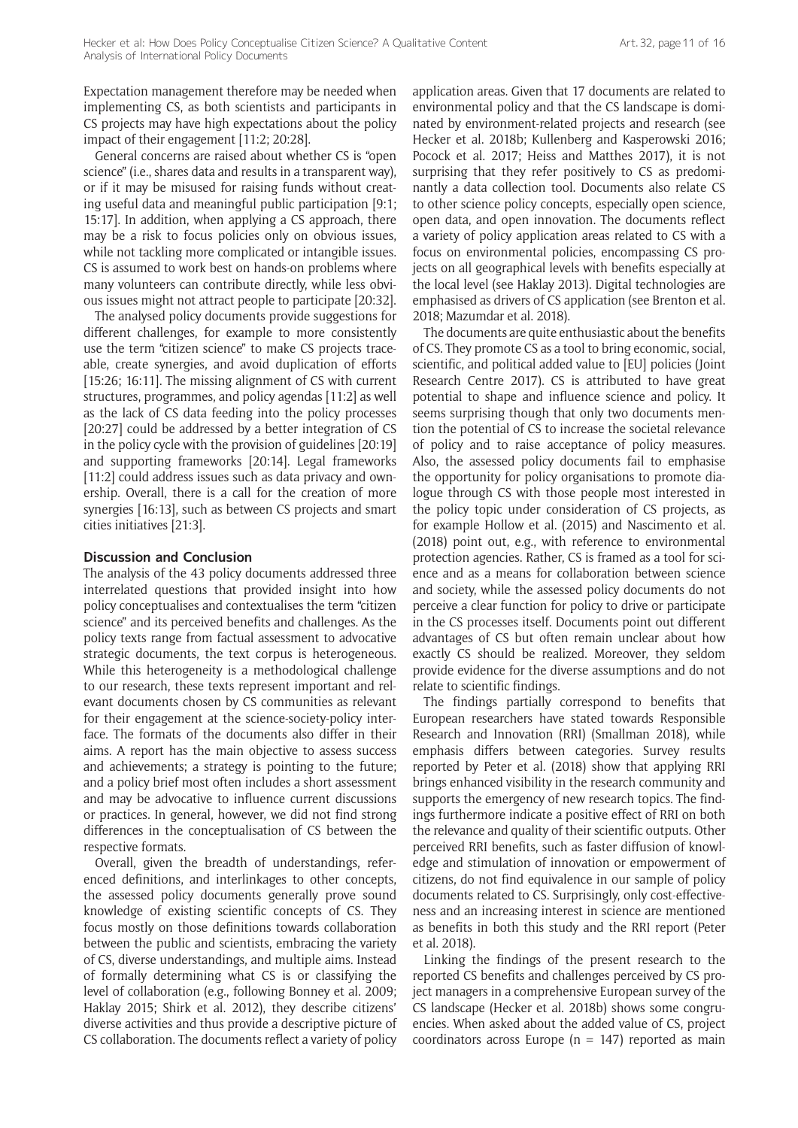Expectation management therefore may be needed when implementing CS, as both scientists and participants in CS projects may have high expectations about the policy impact of their engagement [11:2; 20:28].

General concerns are raised about whether CS is "open science" (i.e., shares data and results in a transparent way), or if it may be misused for raising funds without creating useful data and meaningful public participation [9:1; 15:17]. In addition, when applying a CS approach, there may be a risk to focus policies only on obvious issues, while not tackling more complicated or intangible issues. CS is assumed to work best on hands-on problems where many volunteers can contribute directly, while less obvious issues might not attract people to participate [20:32].

The analysed policy documents provide suggestions for different challenges, for example to more consistently use the term "citizen science" to make CS projects traceable, create synergies, and avoid duplication of efforts [15:26; 16:11]. The missing alignment of CS with current structures, programmes, and policy agendas [11:2] as well as the lack of CS data feeding into the policy processes [20:27] could be addressed by a better integration of CS in the policy cycle with the provision of guidelines [20:19] and supporting frameworks [20:14]. Legal frameworks [11:2] could address issues such as data privacy and ownership. Overall, there is a call for the creation of more synergies [16:13], such as between CS projects and smart cities initiatives [21:3].

#### **Discussion and Conclusion**

The analysis of the 43 policy documents addressed three interrelated questions that provided insight into how policy conceptualises and contextualises the term "citizen science" and its perceived benefits and challenges. As the policy texts range from factual assessment to advocative strategic documents, the text corpus is heterogeneous. While this heterogeneity is a methodological challenge to our research, these texts represent important and relevant documents chosen by CS communities as relevant for their engagement at the science-society-policy interface. The formats of the documents also differ in their aims. A report has the main objective to assess success and achievements; a strategy is pointing to the future; and a policy brief most often includes a short assessment and may be advocative to influence current discussions or practices. In general, however, we did not find strong differences in the conceptualisation of CS between the respective formats.

Overall, given the breadth of understandings, referenced definitions, and interlinkages to other concepts, the assessed policy documents generally prove sound knowledge of existing scientific concepts of CS. They focus mostly on those definitions towards collaboration between the public and scientists, embracing the variety of CS, diverse understandings, and multiple aims. Instead of formally determining what CS is or classifying the level of collaboration (e.g., following Bonney et al. 2009; Haklay 2015; Shirk et al. 2012), they describe citizens' diverse activities and thus provide a descriptive picture of CS collaboration. The documents reflect a variety of policy application areas. Given that 17 documents are related to environmental policy and that the CS landscape is dominated by environment-related projects and research (see Hecker et al. 2018b; Kullenberg and Kasperowski 2016; Pocock et al. 2017; Heiss and Matthes 2017), it is not surprising that they refer positively to CS as predominantly a data collection tool. Documents also relate CS to other science policy concepts, especially open science, open data, and open innovation. The documents reflect a variety of policy application areas related to CS with a focus on environmental policies, encompassing CS projects on all geographical levels with benefits especially at the local level (see Haklay 2013). Digital technologies are emphasised as drivers of CS application (see Brenton et al. 2018; Mazumdar et al. 2018).

The documents are quite enthusiastic about the benefits of CS. They promote CS as a tool to bring economic, social, scientific, and political added value to [EU] policies (Joint Research Centre 2017). CS is attributed to have great potential to shape and influence science and policy. It seems surprising though that only two documents mention the potential of CS to increase the societal relevance of policy and to raise acceptance of policy measures. Also, the assessed policy documents fail to emphasise the opportunity for policy organisations to promote dialogue through CS with those people most interested in the policy topic under consideration of CS projects, as for example Hollow et al. (2015) and Nascimento et al. (2018) point out, e.g., with reference to environmental protection agencies. Rather, CS is framed as a tool for science and as a means for collaboration between science and society, while the assessed policy documents do not perceive a clear function for policy to drive or participate in the CS processes itself. Documents point out different advantages of CS but often remain unclear about how exactly CS should be realized. Moreover, they seldom provide evidence for the diverse assumptions and do not relate to scientific findings.

The findings partially correspond to benefits that European researchers have stated towards Responsible Research and Innovation (RRI) (Smallman 2018), while emphasis differs between categories. Survey results reported by Peter et al. (2018) show that applying RRI brings enhanced visibility in the research community and supports the emergency of new research topics. The findings furthermore indicate a positive effect of RRI on both the relevance and quality of their scientific outputs. Other perceived RRI benefits, such as faster diffusion of knowledge and stimulation of innovation or empowerment of citizens, do not find equivalence in our sample of policy documents related to CS. Surprisingly, only cost-effectiveness and an increasing interest in science are mentioned as benefits in both this study and the RRI report (Peter et al. 2018).

Linking the findings of the present research to the reported CS benefits and challenges perceived by CS project managers in a comprehensive European survey of the CS landscape (Hecker et al. 2018b) shows some congruencies. When asked about the added value of CS, project coordinators across Europe ( $n = 147$ ) reported as main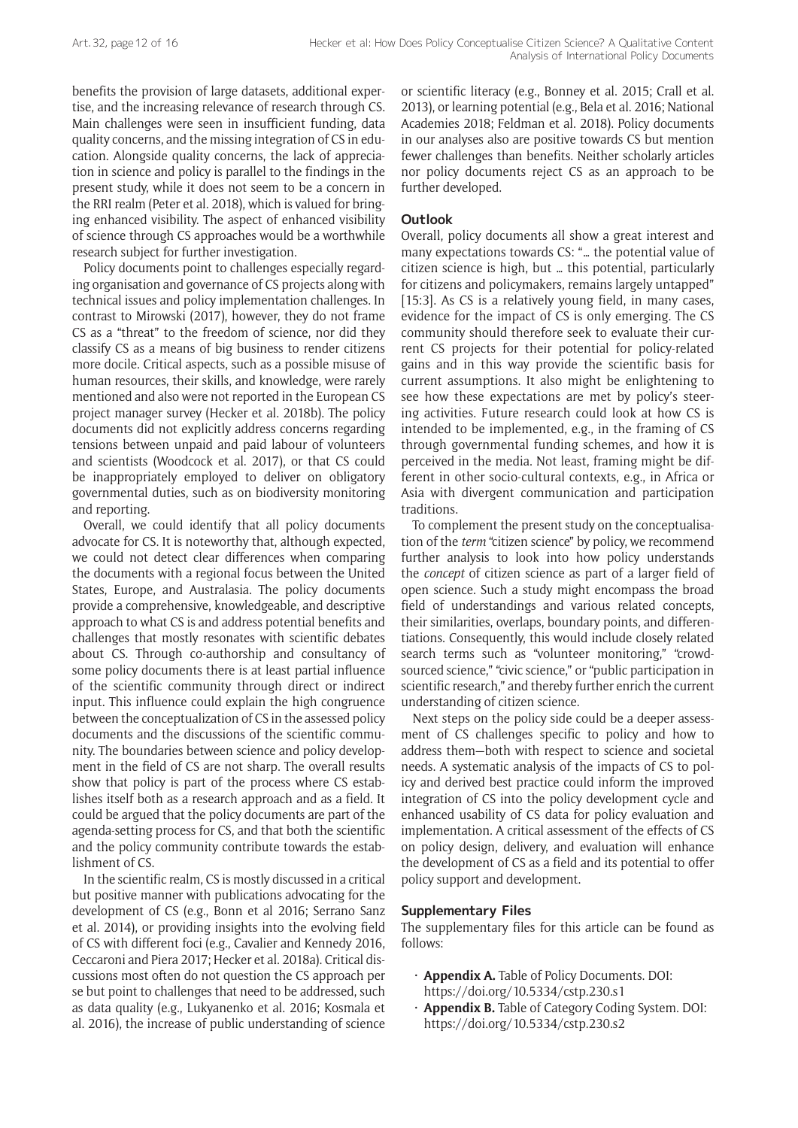benefits the provision of large datasets, additional expertise, and the increasing relevance of research through CS. Main challenges were seen in insufficient funding, data quality concerns, and the missing integration of CS in education. Alongside quality concerns, the lack of appreciation in science and policy is parallel to the findings in the present study, while it does not seem to be a concern in the RRI realm (Peter et al. 2018), which is valued for bringing enhanced visibility. The aspect of enhanced visibility of science through CS approaches would be a worthwhile research subject for further investigation.

Policy documents point to challenges especially regarding organisation and governance of CS projects along with technical issues and policy implementation challenges. In contrast to Mirowski (2017), however, they do not frame CS as a "threat" to the freedom of science, nor did they classify CS as a means of big business to render citizens more docile. Critical aspects, such as a possible misuse of human resources, their skills, and knowledge, were rarely mentioned and also were not reported in the European CS project manager survey (Hecker et al. 2018b). The policy documents did not explicitly address concerns regarding tensions between unpaid and paid labour of volunteers and scientists (Woodcock et al. 2017), or that CS could be inappropriately employed to deliver on obligatory governmental duties, such as on biodiversity monitoring and reporting.

Overall, we could identify that all policy documents advocate for CS. It is noteworthy that, although expected, we could not detect clear differences when comparing the documents with a regional focus between the United States, Europe, and Australasia. The policy documents provide a comprehensive, knowledgeable, and descriptive approach to what CS is and address potential benefits and challenges that mostly resonates with scientific debates about CS. Through co-authorship and consultancy of some policy documents there is at least partial influence of the scientific community through direct or indirect input. This influence could explain the high congruence between the conceptualization of CS in the assessed policy documents and the discussions of the scientific community. The boundaries between science and policy development in the field of CS are not sharp. The overall results show that policy is part of the process where CS establishes itself both as a research approach and as a field. It could be argued that the policy documents are part of the agenda-setting process for CS, and that both the scientific and the policy community contribute towards the establishment of CS.

In the scientific realm, CS is mostly discussed in a critical but positive manner with publications advocating for the development of CS (e.g., Bonn et al 2016; Serrano Sanz et al. 2014), or providing insights into the evolving field of CS with different foci (e.g., Cavalier and Kennedy 2016, Ceccaroni and Piera 2017; Hecker et al. 2018a). Critical discussions most often do not question the CS approach per se but point to challenges that need to be addressed, such as data quality (e.g., Lukyanenko et al. 2016; Kosmala et al. 2016), the increase of public understanding of science or scientific literacy (e.g., Bonney et al. 2015; Crall et al. 2013), or learning potential (e.g., Bela et al. 2016; National Academies 2018; Feldman et al. 2018). Policy documents in our analyses also are positive towards CS but mention fewer challenges than benefits. Neither scholarly articles nor policy documents reject CS as an approach to be further developed.

## **Outlook**

Overall, policy documents all show a great interest and many expectations towards CS: "… the potential value of citizen science is high, but … this potential, particularly for citizens and policymakers, remains largely untapped" [15:3]. As CS is a relatively young field, in many cases, evidence for the impact of CS is only emerging. The CS community should therefore seek to evaluate their current CS projects for their potential for policy-related gains and in this way provide the scientific basis for current assumptions. It also might be enlightening to see how these expectations are met by policy's steering activities. Future research could look at how CS is intended to be implemented, e.g., in the framing of CS through governmental funding schemes, and how it is perceived in the media. Not least, framing might be different in other socio-cultural contexts, e.g., in Africa or Asia with divergent communication and participation traditions.

To complement the present study on the conceptualisation of the *term* "citizen science" by policy, we recommend further analysis to look into how policy understands the *concept* of citizen science as part of a larger field of open science. Such a study might encompass the broad field of understandings and various related concepts, their similarities, overlaps, boundary points, and differentiations. Consequently, this would include closely related search terms such as "volunteer monitoring," "crowdsourced science," "civic science," or "public participation in scientific research," and thereby further enrich the current understanding of citizen science.

Next steps on the policy side could be a deeper assessment of CS challenges specific to policy and how to address them—both with respect to science and societal needs. A systematic analysis of the impacts of CS to policy and derived best practice could inform the improved integration of CS into the policy development cycle and enhanced usability of CS data for policy evaluation and implementation. A critical assessment of the effects of CS on policy design, delivery, and evaluation will enhance the development of CS as a field and its potential to offer policy support and development.

## **Supplementary Files**

The supplementary files for this article can be found as follows:

- • **Appendix A.** Table of Policy Documents. DOI: <https://doi.org/10.5334/cstp.230.s1>
- • **Appendix B.** Table of Category Coding System. DOI: <https://doi.org/10.5334/cstp.230.s2>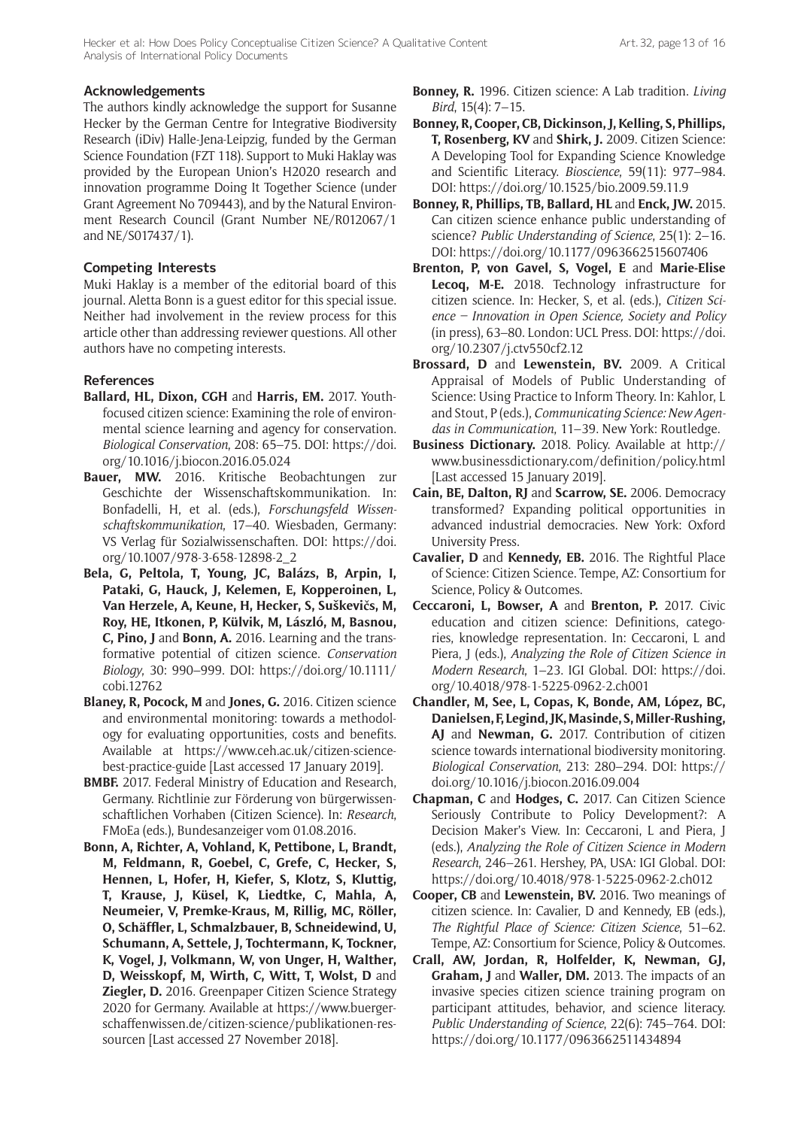#### **Acknowledgements**

The authors kindly acknowledge the support for Susanne Hecker by the German Centre for Integrative Biodiversity Research (iDiv) Halle-Jena-Leipzig, funded by the German Science Foundation (FZT 118). Support to Muki Haklay was provided by the European Union's H2020 research and innovation programme Doing It Together Science (under Grant Agreement No 709443), and by the Natural Environment Research Council (Grant Number NE/R012067/1 and NE/S017437/1).

## **Competing Interests**

Muki Haklay is a member of the editorial board of this journal. Aletta Bonn is a guest editor for this special issue. Neither had involvement in the review process for this article other than addressing reviewer questions. All other authors have no competing interests.

### **References**

- **Ballard, HL, Dixon, CGH** and **Harris, EM.** 2017. Youthfocused citizen science: Examining the role of environmental science learning and agency for conservation. *Biological Conservation*, 208: 65–75. DOI: [https://doi.](https://doi.org/10.1016/j.biocon.2016.05.024) [org/10.1016/j.biocon.2016.05.024](https://doi.org/10.1016/j.biocon.2016.05.024)
- **Bauer, MW.** 2016. Kritische Beobachtungen zur Geschichte der Wissenschaftskommunikation. In: Bonfadelli, H, et al. (eds.), *Forschungsfeld Wissenschaftskommunikation*, 17–40. Wiesbaden, Germany: VS Verlag für Sozialwissenschaften. DOI: [https://doi.](https://doi.org/10.1007/978-3-658-12898-2_2) [org/10.1007/978-3-658-12898-2\\_2](https://doi.org/10.1007/978-3-658-12898-2_2)
- **Bela, G, Peltola, T, Young, JC, Balázs, B, Arpin, I, Pataki, G, Hauck, J, Kelemen, E, Kopperoinen, L, Van Herzele, A, Keune, H, Hecker, S, Suškevičs, M, Roy, HE, Itkonen, P, Külvik, M, László, M, Basnou, C, Pino, J** and **Bonn, A.** 2016. Learning and the transformative potential of citizen science. *Conservation Biology*, 30: 990–999. DOI: [https://doi.org/10.1111/](https://doi.org/10.1111/cobi.12762) [cobi.12762](https://doi.org/10.1111/cobi.12762)
- **Blaney, R, Pocock, M** and **Jones, G.** 2016. Citizen science and environmental monitoring: towards a methodology for evaluating opportunities, costs and benefits. Available at [https://www.ceh.ac.uk/citizen-science](https://www.ceh.ac.uk/citizen-science-best-practice-guide)[best-practice-guide](https://www.ceh.ac.uk/citizen-science-best-practice-guide) [Last accessed 17 January 2019].
- **BMBF.** 2017. Federal Ministry of Education and Research, Germany. Richtlinie zur Förderung von bürgerwissenschaftlichen Vorhaben (Citizen Science). In: *Research*, FMoEa (eds.), Bundesanzeiger vom 01.08.2016.
- **Bonn, A, Richter, A, Vohland, K, Pettibone, L, Brandt, M, Feldmann, R, Goebel, C, Grefe, C, Hecker, S, Hennen, L, Hofer, H, Kiefer, S, Klotz, S, Kluttig, T, Krause, J, Küsel, K, Liedtke, C, Mahla, A, Neumeier, V, Premke-Kraus, M, Rillig, MC, Röller, O, Schäffler, L, Schmalzbauer, B, Schneidewind, U, Schumann, A, Settele, J, Tochtermann, K, Tockner, K, Vogel, J, Volkmann, W, von Unger, H, Walther, D, Weisskopf, M, Wirth, C, Witt, T, Wolst, D** and **Ziegler, D.** 2016. Greenpaper Citizen Science Strategy 2020 for Germany. Available at [https://www.buerger](https://www.buergerschaffenwissen.de/citizen-science/publikationen-ressourcen)[schaffenwissen.de/citizen-science/publikationen-res](https://www.buergerschaffenwissen.de/citizen-science/publikationen-ressourcen)[sourcen](https://www.buergerschaffenwissen.de/citizen-science/publikationen-ressourcen) [Last accessed 27 November 2018].
- **Bonney, R.** 1996. Citizen science: A Lab tradition. *Living Bird*, 15(4): 7–15.
- **Bonney, R, Cooper, CB, Dickinson, J, Kelling, S, Phillips, T, Rosenberg, KV** and **Shirk, J.** 2009. Citizen Science: A Developing Tool for Expanding Science Knowledge and Scientific Literacy. *Bioscience*, 59(11): 977–984. DOI: <https://doi.org/10.1525/bio.2009.59.11.9>
- **Bonney, R, Phillips, TB, Ballard, HL** and **Enck, JW.** 2015. Can citizen science enhance public understanding of science? *Public Understanding of Science*, 25(1): 2–16. DOI: <https://doi.org/10.1177/0963662515607406>
- **Brenton, P, von Gavel, S, Vogel, E** and **Marie-Elise Lecoq, M-E.** 2018. Technology infrastructure for citizen science. In: Hecker, S, et al. (eds.), *Citizen Science – Innovation in Open Science, Society and Policy* (in press), 63–80. London: UCL Press. DOI: [https://doi.](https://doi.org/10.2307/j.ctv550cf2.12) [org/10.2307/j.ctv550cf2.12](https://doi.org/10.2307/j.ctv550cf2.12)
- **Brossard, D** and **Lewenstein, BV.** 2009. A Critical Appraisal of Models of Public Understanding of Science: Using Practice to Inform Theory. In: Kahlor, L and Stout, P (eds.), *Communicating Science: New Agendas in Communication*, 11–39. New York: Routledge.
- **Business Dictionary.** 2018. Policy. Available at [http://](http://www.businessdictionary.com/definition/policy.html) [www.businessdictionary.com/definition/policy.html](http://www.businessdictionary.com/definition/policy.html) [Last accessed 15 January 2019].
- **Cain, BE, Dalton, RJ** and **Scarrow, SE.** 2006. Democracy transformed? Expanding political opportunities in advanced industrial democracies. New York: Oxford University Press.
- **Cavalier, D** and **Kennedy, EB.** 2016. The Rightful Place of Science: Citizen Science. Tempe, AZ: Consortium for Science, Policy & Outcomes.
- **Ceccaroni, L, Bowser, A** and **Brenton, P.** 2017. Civic education and citizen science: Definitions, categories, knowledge representation. In: Ceccaroni, L and Piera, J (eds.), *Analyzing the Role of Citizen Science in Modern Research*, 1–23. IGI Global. DOI: [https://doi.](https://doi.org/10.4018/978-1-5225-0962-2.ch001) [org/10.4018/978-1-5225-0962-2.ch001](https://doi.org/10.4018/978-1-5225-0962-2.ch001)
- **Chandler, M, See, L, Copas, K, Bonde, AM, López, BC, Danielsen, F, Legind, JK, Masinde, S, Miller-Rushing, AJ** and **Newman, G.** 2017. Contribution of citizen science towards international biodiversity monitoring. *Biological Conservation*, 213: 280–294. DOI: [https://](https://doi.org/10.1016/j.biocon.2016.09.004) [doi.org/10.1016/j.biocon.2016.09.004](https://doi.org/10.1016/j.biocon.2016.09.004)
- **Chapman, C** and **Hodges, C.** 2017. Can Citizen Science Seriously Contribute to Policy Development?: A Decision Maker's View. In: Ceccaroni, L and Piera, J (eds.), *Analyzing the Role of Citizen Science in Modern Research*, 246–261. Hershey, PA, USA: IGI Global. DOI: <https://doi.org/10.4018/978-1-5225-0962-2.ch012>
- **Cooper, CB** and **Lewenstein, BV.** 2016. Two meanings of citizen science. In: Cavalier, D and Kennedy, EB (eds.), *The Rightful Place of Science: Citizen Science*, 51–62. Tempe, AZ: Consortium for Science, Policy & Outcomes.
- **Crall, AW, Jordan, R, Holfelder, K, Newman, GJ, Graham, J** and **Waller, DM.** 2013. The impacts of an invasive species citizen science training program on participant attitudes, behavior, and science literacy. *Public Understanding of Science*, 22(6): 745–764. DOI: <https://doi.org/10.1177/0963662511434894>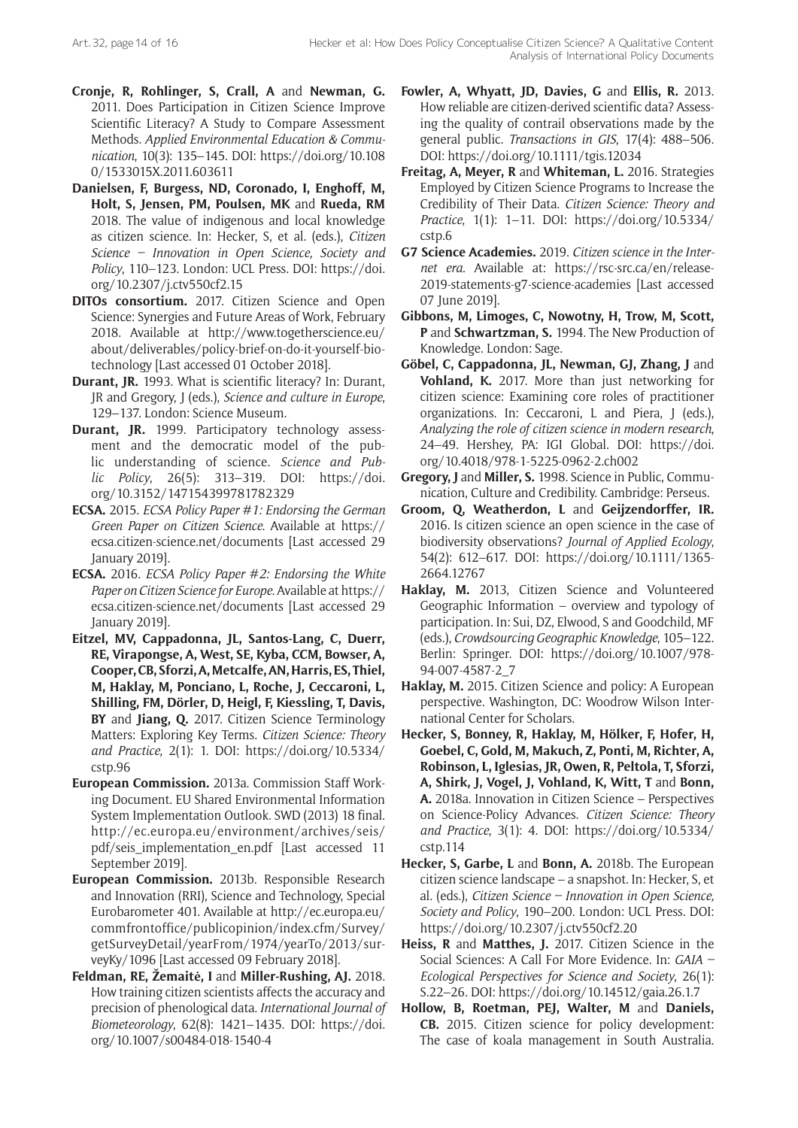- **Cronje, R, Rohlinger, S, Crall, A** and **Newman, G.** 2011. Does Participation in Citizen Science Improve Scientific Literacy? A Study to Compare Assessment Methods*. Applied Environmental Education & Communication*, 10(3): 135–145. DOI: [https://doi.org/10.108](https://doi.org/10.1080/1533015X.2011.603611) [0/1533015X.2011.603611](https://doi.org/10.1080/1533015X.2011.603611)
- **Danielsen, F, Burgess, ND, Coronado, I, Enghoff, M, Holt, S, Jensen, PM, Poulsen, MK** and **Rueda, RM** 2018. The value of indigenous and local knowledge as citizen science. In: Hecker, S, et al. (eds.), *Citizen Science – Innovation in Open Science, Society and Policy*, 110–123. London: UCL Press. DOI: [https://doi.](https://doi.org/10.2307/j.ctv550cf2.15) [org/10.2307/j.ctv550cf2.15](https://doi.org/10.2307/j.ctv550cf2.15)
- **DITOs consortium.** 2017. Citizen Science and Open Science: Synergies and Future Areas of Work, February 2018. Available at [http://www.togetherscience.eu/](http://www.togetherscience.eu/about/deliverables/policy-brief-on-do-it-yourself-biotechnology) [about/deliverables/policy-brief-on-do-it-yourself-bio](http://www.togetherscience.eu/about/deliverables/policy-brief-on-do-it-yourself-biotechnology)[technology](http://www.togetherscience.eu/about/deliverables/policy-brief-on-do-it-yourself-biotechnology) [Last accessed 01 October 2018].
- **Durant, JR.** 1993. What is scientific literacy? In: Durant, JR and Gregory, J (eds.), *Science and culture in Europe*, 129–137. London: Science Museum.
- **Durant, JR.** 1999. Participatory technology assessment and the democratic model of the public understanding of science. *Science and Public Policy*, 26(5): 313–319. DOI: [https://doi.](https://doi.org/10.3152/147154399781782329) [org/10.3152/147154399781782329](https://doi.org/10.3152/147154399781782329)
- **ECSA.** 2015. *ECSA Policy Paper #1: Endorsing the German Green Paper on Citizen Science*. Available at [https://](https://ecsa.citizen-science.net/documents) [ecsa.citizen-science.net/documents](https://ecsa.citizen-science.net/documents) [Last accessed 29 January 2019].
- **ECSA.** 2016. *ECSA Policy Paper #2: Endorsing the White Paper on Citizen Science for Europe*. Available at [https://](https://ecsa.citizen-science.net/documents) [ecsa.citizen-science.net/documents](https://ecsa.citizen-science.net/documents) [Last accessed 29 January 2019].
- **Eitzel, MV, Cappadonna, JL, Santos-Lang, C, Duerr, RE, Virapongse, A, West, SE, Kyba, CCM, Bowser, A, Cooper, CB, Sforzi, A, Metcalfe, AN, Harris, ES, Thiel, M, Haklay, M, Ponciano, L, Roche, J, Ceccaroni, L, Shilling, FM, Dörler, D, Heigl, F, Kiessling, T, Davis, BY** and **Jiang, Q.** 2017. Citizen Science Terminology Matters: Exploring Key Terms. *Citizen Science: Theory and Practice*, 2(1): 1. DOI: [https://doi.org/10.5334/](https://doi.org/10.5334/cstp.96) [cstp.96](https://doi.org/10.5334/cstp.96)
- **European Commission.** 2013a. Commission Staff Working Document. EU Shared Environmental Information System Implementation Outlook. SWD (2013) 18 final. [http://ec.europa.eu/environment/archives/seis/](http://ec.europa.eu/environment/archives/seis/pdf/seis_implementation_en.pdf) [pdf/seis\\_implementation\\_en.pdf](http://ec.europa.eu/environment/archives/seis/pdf/seis_implementation_en.pdf) [Last accessed 11 September 2019].
- **European Commission.** 2013b. Responsible Research and Innovation (RRI), Science and Technology, Special Eurobarometer 401. Available at [http://ec.europa.eu/](http://ec.europa.eu/commfrontoffice/publicopinion/index.cfm/Survey/getSurveyDetail/yearFrom/1974/yearTo/2013/surveyKy/1096) [commfrontoffice/publicopinion/index.cfm/Survey/](http://ec.europa.eu/commfrontoffice/publicopinion/index.cfm/Survey/getSurveyDetail/yearFrom/1974/yearTo/2013/surveyKy/1096) [getSurveyDetail/yearFrom/1974/yearTo/2013/sur](http://ec.europa.eu/commfrontoffice/publicopinion/index.cfm/Survey/getSurveyDetail/yearFrom/1974/yearTo/2013/surveyKy/1096)[veyKy/1096](http://ec.europa.eu/commfrontoffice/publicopinion/index.cfm/Survey/getSurveyDetail/yearFrom/1974/yearTo/2013/surveyKy/1096) [Last accessed 09 February 2018].
- **Feldman, RE, Žemaitė, I** and **Miller-Rushing, AJ.** 2018. How training citizen scientists affects the accuracy and precision of phenological data. *International Journal of Biometeorology*, 62(8): 1421–1435. DOI: [https://doi.](https://doi.org/10.1007/s00484-018-1540-4) [org/10.1007/s00484-018-1540-4](https://doi.org/10.1007/s00484-018-1540-4)
- **Fowler, A, Whyatt, JD, Davies, G** and **Ellis, R.** 2013. How reliable are citizen-derived scientific data? Assessing the quality of contrail observations made by the general public. *Transactions in GIS*, 17(4): 488–506. DOI:<https://doi.org/10.1111/tgis.12034>
- **Freitag, A, Meyer, R** and **Whiteman, L.** 2016. Strategies Employed by Citizen Science Programs to Increase the Credibility of Their Data. *Citizen Science: Theory and Practice*, 1(1): 1–11. DOI: [https://doi.org/10.5334/](https://doi.org/10.5334/cstp.6) [cstp.6](https://doi.org/10.5334/cstp.6)
- **G7 Science Academies.** 2019. *Citizen science in the Internet era*. Available at: [https://rsc-src.ca/en/release-](https://rsc-src.ca/en/release-2019-statements-g7-science-academies)[2019-statements-g7-science-academies](https://rsc-src.ca/en/release-2019-statements-g7-science-academies) [Last accessed 07 June 2019].
- **Gibbons, M, Limoges, C, Nowotny, H, Trow, M, Scott, P** and **Schwartzman, S.** 1994. The New Production of Knowledge. London: Sage.
- **Göbel, C, Cappadonna, JL, Newman, GJ, Zhang, J** and **Vohland, K.** 2017. More than just networking for citizen science: Examining core roles of practitioner organizations. In: Ceccaroni, L and Piera, J (eds.), *Analyzing the role of citizen science in modern research*, 24–49. Hershey, PA: IGI Global. DOI: [https://doi.](https://doi.org/10.4018/978-1-5225-0962-2.ch002) [org/10.4018/978-1-5225-0962-2.ch002](https://doi.org/10.4018/978-1-5225-0962-2.ch002)
- **Gregory, J** and **Miller, S.** 1998. Science in Public, Communication, Culture and Credibility. Cambridge: Perseus.
- **Groom, Q, Weatherdon, L** and **Geijzendorffer, IR.** 2016. Is citizen science an open science in the case of biodiversity observations? *Journal of Applied Ecology*, 54(2): 612–617. DOI: [https://doi.org/10.1111/1365-](https://doi.org/10.1111/1365-2664.12767) [2664.12767](https://doi.org/10.1111/1365-2664.12767)
- **Haklay, M.** 2013, Citizen Science and Volunteered Geographic Information – overview and typology of participation. In: Sui, DZ, Elwood, S and Goodchild, MF (eds.), *Crowdsourcing Geographic Knowledge*, 105–122. Berlin: Springer. DOI: [https://doi.org/10.1007/978-](https://doi.org/10.1007/978-94-007-4587-2_7) [94-007-4587-2\\_7](https://doi.org/10.1007/978-94-007-4587-2_7)
- **Haklay, M.** 2015. Citizen Science and policy: A European perspective. Washington, DC: Woodrow Wilson International Center for Scholars.
- **Hecker, S, Bonney, R, Haklay, M, Hölker, F, Hofer, H, Goebel, C, Gold, M, Makuch, Z, Ponti, M, Richter, A, Robinson, L, Iglesias, JR, Owen, R, Peltola, T, Sforzi, A, Shirk, J, Vogel, J, Vohland, K, Witt, T** and **Bonn, A.** 2018a. Innovation in Citizen Science – Perspectives on Science-Policy Advances. *Citizen Science: Theory and Practice*, 3(1): 4. DOI: [https://doi.org/10.5334/](https://doi.org/10.5334/cstp.114) [cstp.114](https://doi.org/10.5334/cstp.114)
- **Hecker, S, Garbe, L** and **Bonn, A.** 2018b. The European citizen science landscape – a snapshot. In: Hecker, S, et al. (eds.), *Citizen Science – Innovation in Open Science, Society and Policy*, 190–200. London: UCL Press. DOI: <https://doi.org/10.2307/j.ctv550cf2.20>
- **Heiss, R** and **Matthes, J.** 2017. Citizen Science in the Social Sciences: A Call For More Evidence. In: *GAIA – Ecological Perspectives for Science and Society*, 26(1): S.22–26. DOI: <https://doi.org/10.14512/gaia.26.1.7>
- **Hollow, B, Roetman, PEJ, Walter, M** and **Daniels, CB.** 2015. Citizen science for policy development: The case of koala management in South Australia.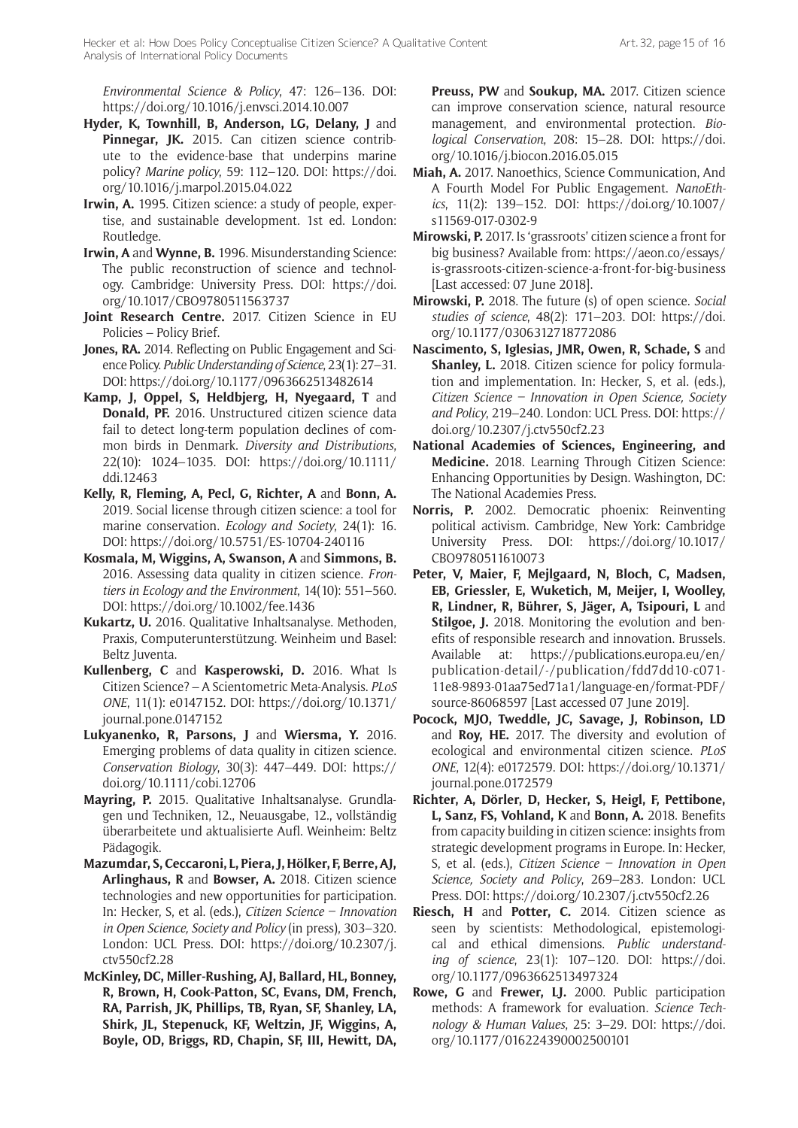*Environmental Science & Policy*, 47: 126–136. DOI: <https://doi.org/10.1016/j.envsci.2014.10.007>

- **Hyder, K, Townhill, B, Anderson, LG, Delany, J** and Pinnegar, JK. 2015. Can citizen science contribute to the evidence-base that underpins marine policy? *Marine policy*, 59: 112–120. DOI: [https://doi.](https://doi.org/10.1016/j.marpol.2015.04.022) [org/10.1016/j.marpol.2015.04.022](https://doi.org/10.1016/j.marpol.2015.04.022)
- **Irwin, A.** 1995. Citizen science: a study of people, expertise, and sustainable development. 1st ed. London: Routledge.
- **Irwin, A** and **Wynne, B.** 1996. Misunderstanding Science: The public reconstruction of science and technology. Cambridge: University Press. DOI: [https://doi.](https://doi.org/10.1017/CBO9780511563737) [org/10.1017/CBO9780511563737](https://doi.org/10.1017/CBO9780511563737)
- **Joint Research Centre.** 2017. Citizen Science in EU Policies – Policy Brief.
- **Jones, RA.** 2014. Reflecting on Public Engagement and Science Policy. *Public Understanding of Science*, 23(1): 27–31. DOI: <https://doi.org/10.1177/0963662513482614>
- **Kamp, J, Oppel, S, Heldbjerg, H, Nyegaard, T** and **Donald, PF.** 2016. Unstructured citizen science data fail to detect long-term population declines of common birds in Denmark. *Diversity and Distributions*, 22(10): 1024–1035. DOI: [https://doi.org/10.1111/](https://doi.org/10.1111/ddi.12463) [ddi.12463](https://doi.org/10.1111/ddi.12463)
- **Kelly, R, Fleming, A, Pecl, G, Richter, A** and **Bonn, A.** 2019. Social license through citizen science: a tool for marine conservation. *Ecology and Society*, 24(1): 16. DOI:<https://doi.org/10.5751/ES-10704-240116>
- **Kosmala, M, Wiggins, A, Swanson, A** and **Simmons, B.** 2016. Assessing data quality in citizen science. *Frontiers in Ecology and the Environment*, 14(10): 551–560. DOI:<https://doi.org/10.1002/fee.1436>
- **Kukartz, U.** 2016. Qualitative Inhaltsanalyse. Methoden, Praxis, Computerunterstützung. Weinheim und Basel: Beltz Juventa.
- **Kullenberg, C** and **Kasperowski, D.** 2016. What Is Citizen Science? – A Scientometric Meta-Analysis. *PLoS ONE*, 11(1): e0147152. DOI: [https://doi.org/10.1371/](https://doi.org/10.1371/journal.pone.0147152) [journal.pone.0147152](https://doi.org/10.1371/journal.pone.0147152)
- **Lukyanenko, R, Parsons, J** and **Wiersma, Y.** 2016. Emerging problems of data quality in citizen science. *Conservation Biology*, 30(3): 447–449. DOI: [https://](https://doi.org/10.1111/cobi.12706) [doi.org/10.1111/cobi.12706](https://doi.org/10.1111/cobi.12706)
- **Mayring, P.** 2015. Qualitative Inhaltsanalyse. Grundlagen und Techniken, 12., Neuausgabe, 12., vollständig überarbeitete und aktualisierte Aufl. Weinheim: Beltz Pädagogik.
- **Mazumdar, S, Ceccaroni, L, Piera, J, Hölker, F, Berre, AJ, Arlinghaus, R** and **Bowser, A.** 2018. Citizen science technologies and new opportunities for participation. In: Hecker, S, et al. (eds.), *Citizen Science – Innovation in Open Science, Society and Policy* (in press), 303–320. London: UCL Press. DOI: [https://doi.org/10.2307/j.](https://doi.org/10.2307/j.ctv550cf2.28) [ctv550cf2.28](https://doi.org/10.2307/j.ctv550cf2.28)
- **McKinley, DC, Miller-Rushing, AJ, Ballard, HL, Bonney, R, Brown, H, Cook-Patton, SC, Evans, DM, French, RA, Parrish, JK, Phillips, TB, Ryan, SF, Shanley, LA, Shirk, JL, Stepenuck, KF, Weltzin, JF, Wiggins, A, Boyle, OD, Briggs, RD, Chapin, SF, III, Hewitt, DA,**

**Preuss, PW** and **Soukup, MA.** 2017. Citizen science can improve conservation science, natural resource management, and environmental protection. *Biological Conservation*, 208: 15–28. DOI: [https://doi.](https://doi.org/10.1016/j.biocon.2016.05.015) [org/10.1016/j.biocon.2016.05.015](https://doi.org/10.1016/j.biocon.2016.05.015)

- **Miah, A.** 2017. Nanoethics, Science Communication, And A Fourth Model For Public Engagement. *NanoEthics*, 11(2): 139–152. DOI: [https://doi.org/10.1007/](https://doi.org/10.1007/s11569-017-0302-9) [s11569-017-0302-9](https://doi.org/10.1007/s11569-017-0302-9)
- **Mirowski, P.** 2017. Is 'grassroots' citizen science a front for big business? Available from: [https://aeon.co/essays/](https://aeon.co/essays/is-grassroots-citizen-science-a-front-for-big-business) [is-grassroots-citizen-science-a-front-for-big-business](https://aeon.co/essays/is-grassroots-citizen-science-a-front-for-big-business) [Last accessed: 07 June 2018].
- **Mirowski, P.** 2018. The future (s) of open science. *Social studies of science*, 48(2): 171–203. DOI: [https://doi.](https://doi.org/10.1177/0306312718772086) [org/10.1177/0306312718772086](https://doi.org/10.1177/0306312718772086)
- **Nascimento, S, Iglesias, JMR, Owen, R, Schade, S** and **Shanley, L.** 2018. Citizen science for policy formulation and implementation. In: Hecker, S, et al. (eds.), *Citizen Science – Innovation in Open Science, Society and Policy*, 219–240. London: UCL Press. DOI: [https://](https://doi.org/10.2307/j.ctv550cf2.23) [doi.org/10.2307/j.ctv550cf2.23](https://doi.org/10.2307/j.ctv550cf2.23)
- **National Academies of Sciences, Engineering, and Medicine.** 2018. Learning Through Citizen Science: Enhancing Opportunities by Design. Washington, DC: The National Academies Press.
- **Norris, P.** 2002. Democratic phoenix: Reinventing political activism. Cambridge, New York: Cambridge University Press. DOI: [https://doi.org/10.1017/](https://doi.org/10.1017/CBO9780511610073) [CBO9780511610073](https://doi.org/10.1017/CBO9780511610073)
- **Peter, V, Maier, F, Mejlgaard, N, Bloch, C, Madsen, EB, Griessler, E, Wuketich, M, Meijer, I, Woolley, R, Lindner, R, Bührer, S, Jäger, A, Tsipouri, L** and **Stilgoe, J.** 2018. Monitoring the evolution and benefits of responsible research and innovation. Brussels. Available at: [https://publications.europa.eu/en/](https://publications.europa.eu/en/publication-detail/-/publication/fdd7dd10-c071-11e8-9893-01aa75ed71a1/language-en/format-PDF/source-86068597) [publication-detail/-/publication/fdd7dd10-c071-](https://publications.europa.eu/en/publication-detail/-/publication/fdd7dd10-c071-11e8-9893-01aa75ed71a1/language-en/format-PDF/source-86068597) [11e8-9893-01aa75ed71a1/language-en/format-PDF/](https://publications.europa.eu/en/publication-detail/-/publication/fdd7dd10-c071-11e8-9893-01aa75ed71a1/language-en/format-PDF/source-86068597) [source-86068597](https://publications.europa.eu/en/publication-detail/-/publication/fdd7dd10-c071-11e8-9893-01aa75ed71a1/language-en/format-PDF/source-86068597) [Last accessed 07 June 2019].
- **Pocock, MJO, Tweddle, JC, Savage, J, Robinson, LD**  and **Roy, HE.** 2017. The diversity and evolution of ecological and environmental citizen science. *PLoS ONE*, 12(4): e0172579. DOI: [https://doi.org/10.1371/](https://doi.org/10.1371/journal.pone.0172579) [journal.pone.0172579](https://doi.org/10.1371/journal.pone.0172579)
- **Richter, A, Dörler, D, Hecker, S, Heigl, F, Pettibone, L, Sanz, FS, Vohland, K** and **Bonn, A.** 2018. Benefits from capacity building in citizen science: insights from strategic development programs in Europe. In: Hecker, S, et al. (eds.), *Citizen Science – Innovation in Open Science, Society and Policy*, 269–283. London: UCL Press. DOI: <https://doi.org/10.2307/j.ctv550cf2.26>
- **Riesch, H** and **Potter, C.** 2014. Citizen science as seen by scientists: Methodological, epistemological and ethical dimensions. *Public understanding of science*, 23(1): 107–120. DOI: [https://doi.](https://doi.org/10.1177/0963662513497324) [org/10.1177/0963662513497324](https://doi.org/10.1177/0963662513497324)
- **Rowe, G** and **Frewer, LJ.** 2000. Public participation methods: A framework for evaluation. *Science Technology & Human Values*, 25: 3–29. DOI: [https://doi.](https://doi.org/10.1177/016224390002500101) [org/10.1177/016224390002500101](https://doi.org/10.1177/016224390002500101)